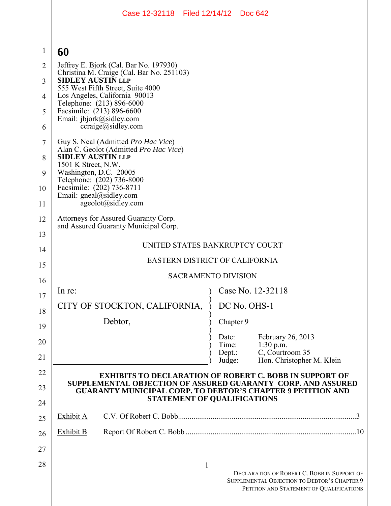|                | Case 12-32118 Filed 12/14/12 Doc 642                                                                                                                                                                                                                                 |  |  |
|----------------|----------------------------------------------------------------------------------------------------------------------------------------------------------------------------------------------------------------------------------------------------------------------|--|--|
|                |                                                                                                                                                                                                                                                                      |  |  |
| $\mathbf{1}$   | 60                                                                                                                                                                                                                                                                   |  |  |
| $\overline{2}$ | Jeffrey E. Bjork (Cal. Bar No. 197930)<br>Christina M. Craige (Cal. Bar No. 251103)<br>SIDLEY AUSTIN LLP<br>555 West Fifth Street, Suite 4000<br>Los Angeles, California 90013<br>Telephone: (213) 896-6000<br>Facsimile: (213) 896-6600<br>Email: jbjork@sidley.com |  |  |
| 3              |                                                                                                                                                                                                                                                                      |  |  |
| 4              |                                                                                                                                                                                                                                                                      |  |  |
| 5              |                                                                                                                                                                                                                                                                      |  |  |
| 6              | $ccraige(a)$ sidley.com                                                                                                                                                                                                                                              |  |  |
| $\tau$         | Guy S. Neal (Admitted Pro Hac Vice)<br>Alan C. Geolot (Admitted Pro Hac Vice)<br><b>SIDLEY AUSTIN LLP</b><br>1501 K Street, N.W.                                                                                                                                     |  |  |
| 8              |                                                                                                                                                                                                                                                                      |  |  |
| 9              | Washington, D.C. 20005<br>Telephone: (202) 736-8000                                                                                                                                                                                                                  |  |  |
| 10             | Facsimile: (202) 736-8711<br>Email: gneal@sidley.com                                                                                                                                                                                                                 |  |  |
| 11             | ageolot@sidley.com                                                                                                                                                                                                                                                   |  |  |
| 12             | Attorneys for Assured Guaranty Corp.<br>and Assured Guaranty Municipal Corp.                                                                                                                                                                                         |  |  |
| 13             | UNITED STATES BANKRUPTCY COURT                                                                                                                                                                                                                                       |  |  |
| 14             | <b>EASTERN DISTRICT OF CALIFORNIA</b>                                                                                                                                                                                                                                |  |  |
| 15             | <b>SACRAMENTO DIVISION</b>                                                                                                                                                                                                                                           |  |  |
| 16<br>17       | Case No. 12-32118<br>In re:                                                                                                                                                                                                                                          |  |  |
| 18             | CITY OF STOCKTON, CALIFORNIA,<br>DC No. OHS-1                                                                                                                                                                                                                        |  |  |
| 19             | Debtor,<br>Chapter 9                                                                                                                                                                                                                                                 |  |  |
| 20             | Date:<br>February 26, 2013<br>Time:<br>1:30 p.m.                                                                                                                                                                                                                     |  |  |
| 21             | C, Courtroom 35<br>Dept.:<br>Hon. Christopher M. Klein<br>Judge:                                                                                                                                                                                                     |  |  |
| 22             | <b>EXHIBITS TO DECLARATION OF ROBERT C. BOBB IN SUPPORT OF</b>                                                                                                                                                                                                       |  |  |
| 23             | SUPPLEMENTAL OBJECTION OF ASSURED GUARANTY CORP. AND ASSURED<br><b>GUARANTY MUNICIPAL CORP. TO DEBTOR'S CHAPTER 9 PETITION AND</b>                                                                                                                                   |  |  |
| 24             | <b>STATEMENT OF QUALIFICATIONS</b>                                                                                                                                                                                                                                   |  |  |
| 25             | Exhibit A                                                                                                                                                                                                                                                            |  |  |
| 26             | Exhibit B                                                                                                                                                                                                                                                            |  |  |
| 27             |                                                                                                                                                                                                                                                                      |  |  |
| 28             | $\mathbf{1}$<br>DECLARATION OF ROBERT C. BOBB IN SUPPORT OF<br>SUPPLEMENTAL OBJECTION TO DEBTOR'S CHAPTER 9<br>PETITION AND STATEMENT OF QUALIFICATIONS                                                                                                              |  |  |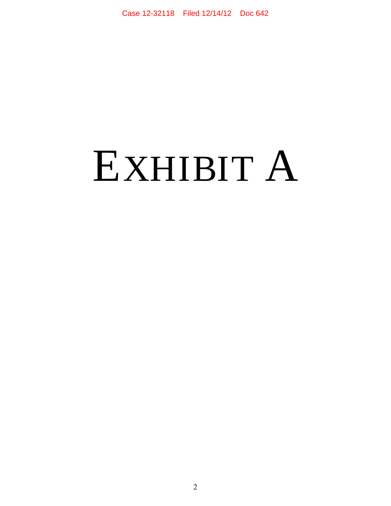# EXHIBIT A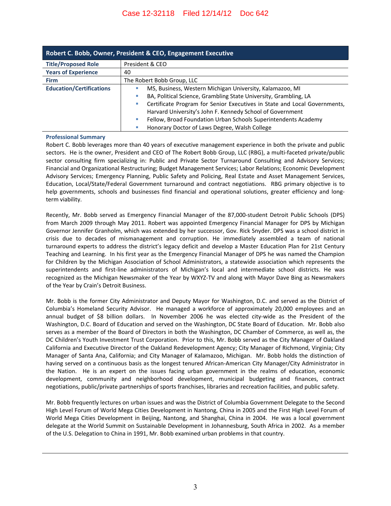| Robert C. Bobb, Owner, President & CEO, Engagement Executive |                                                                           |  |  |
|--------------------------------------------------------------|---------------------------------------------------------------------------|--|--|
| <b>Title/Proposed Role</b>                                   | President & CEO                                                           |  |  |
| <b>Years of Experience</b>                                   | 40                                                                        |  |  |
| <b>Firm</b>                                                  | The Robert Bobb Group, LLC                                                |  |  |
| <b>Education/Certifications</b>                              | MS, Business, Western Michigan University, Kalamazoo, MI                  |  |  |
|                                                              | BA, Political Science, Grambling State University, Grambling, LA          |  |  |
|                                                              | Certificate Program for Senior Executives in State and Local Governments, |  |  |
|                                                              | Harvard University's John F. Kennedy School of Government                 |  |  |
|                                                              | Fellow, Broad Foundation Urban Schools Superintendents Academy            |  |  |
|                                                              | Honorary Doctor of Laws Degree, Walsh College                             |  |  |

#### **Professional Summary**

Robert C. Bobb leverages more than 40 years of executive management experience in both the private and public sectors. He is the owner, President and CEO of The Robert Bobb Group, LLC (RBG), a multi-faceted private/public sector consulting firm specializing in: Public and Private Sector Turnaround Consulting and Advisory Services; Financial and Organizational Restructuring; Budget Management Services; Labor Relations; Economic Development Advisory Services; Emergency Planning, Public Safety and Policing, Real Estate and Asset Management Services, Education, Local/State/Federal Government turnaround and contract negotiations. RBG primary objective is to help governments, schools and businesses find financial and operational solutions, greater efficiency and longterm viability.

Recently, Mr. Bobb served as Emergency Financial Manager of the 87,000-student Detroit Public Schools (DPS) from March 2009 through May 2011. Robert was appointed Emergency Financial Manager for DPS by Michigan Governor Jennifer Granholm, which was extended by her successor, Gov. Rick Snyder. DPS was a school district in crisis due to decades of mismanagement and corruption. He immediately assembled a team of national turnaround experts to address the district's legacy deficit and develop a Master Education Plan for 21st Century Teaching and Learning. In his first year as the Emergency Financial Manager of DPS he was named the Champion for Children by the Michigan Association of School Administrators, a statewide association which represents the superintendents and first-line administrators of Michigan's local and intermediate school districts. He was recognized as the Michigan Newsmaker of the Year by WXYZ-TV and along with Mayor Dave Bing as Newsmakers of the Year by Crain's Detroit Business.

Mr. Bobb is the former City Administrator and Deputy Mayor for Washington, D.C. and served as the District of Columbia's Homeland Security Advisor. He managed a workforce of approximately 20,000 employees and an annual budget of \$8 billion dollars. In November 2006 he was elected city-wide as the President of the Washington, D.C. Board of Education and served on the Washington, DC State Board of Education. Mr. Bobb also serves as a member of the Board of Directors in both the Washington, DC Chamber of Commerce, as well as, the DC Children's Youth Investment Trust Corporation. Prior to this, Mr. Bobb served as the City Manager of Oakland California and Executive Director of the Oakland Redevelopment Agency; City Manager of Richmond, Virginia; City Manager of Santa Ana, California; and City Manager of Kalamazoo, Michigan. Mr. Bobb holds the distinction of having served on a continuous basis as the longest tenured African-American City Manager/City Administrator in the Nation. He is an expert on the issues facing urban government in the realms of education, economic development, community and neighborhood development, municipal budgeting and finances, contract negotiations, public/private partnerships of sports franchises, libraries and recreation facilities, and public safety.

Mr. Bobb frequently lectures on urban issues and was the District of Columbia Government Delegate to the Second High Level Forum of World Mega Cities Development in Nantong, China in 2005 and the First High Level Forum of World Mega Cities Development in Beijing, Nantong, and Shanghai, China in 2004. He was a local government delegate at the World Summit on Sustainable Development in Johannesburg, South Africa in 2002. As a member of the U.S. Delegation to China in 1991, Mr. Bobb examined urban problems in that country.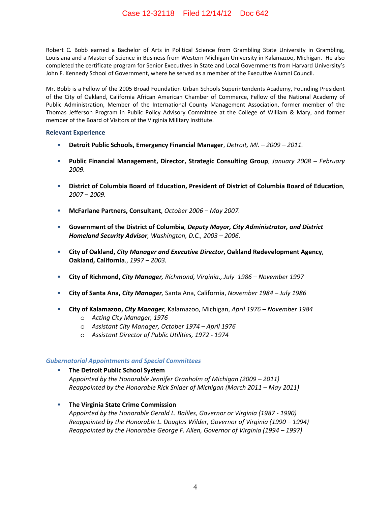Robert C. Bobb earned a Bachelor of Arts in Political Science from Grambling State University in Grambling, Louisiana and a Master of Science in Business from Western Michigan University in Kalamazoo, Michigan. He also completed the certificate program for Senior Executives in State and Local Governments from Harvard University's John F. Kennedy School of Government, where he served as a member of the Executive Alumni Council.

Mr. Bobb is a Fellow of the 2005 Broad Foundation Urban Schools Superintendents Academy, Founding President of the City of Oakland, California African American Chamber of Commerce, Fellow of the National Academy of Public Administration, Member of the International County Management Association, former member of the Thomas Jefferson Program in Public Policy Advisory Committee at the College of William & Mary, and former member of the Board of Visitors of the Virginia Military Institute.

#### **Relevant Experience**

- **Detroit Public Schools, Emergency Financial Manager**, *Detroit, MI. 2009 2011.*
- **Public Financial Management, Director, Strategic Consulting Group**, *January 2008 February 2009.*
- **District of Columbia Board of Education, President of District of Columbia Board of Education**, *2007 – 2009.*
- **McFarlane Partners, Consultant**, *October 2006 May 2007.*
- **Government of the District of Columbia**, *Deputy Mayor, City Administrator, and District Homeland Security Advisor, Washington, D.C., 2003 – 2006.*
- **City of Oakland,** *City Manager and Executive Director***, Oakland Redevelopment Agency**, **Oakland, California**., *1997 – 2003.*
- **City of Richmond,** *City Manager, Richmond, Virginia., July 1986 November 1997*
- **City of Santa Ana,** *City Manager,* Santa Ana, California, *November 1984 July 1986*
- **City of Kalamazoo,** *City Manager,* Kalamazoo, Michigan, *April 1976 November 1984*
	- o *Acting City Manager, 1976*
	- o *Assistant City Manager, October 1974 April 1976*
	- o *Assistant Director of Public Utilities, 1972 1974*

#### *Gubernatorial Appointments and Special Committees*

- **The Detroit Public School System**  *Appointed by the Honorable Jennifer Granholm of Michigan (2009 – 2011) Reappointed by the Honorable Rick Snider of Michigan (March 2011 – May 2011)*
- **The Virginia State Crime Commission**  *Appointed by the Honorable Gerald L. Baliles, Governor or Virginia (1987 - 1990) Reappointed by the Honorable L. Douglas Wilder, Governor of Virginia (1990 – 1994) Reappointed by the Honorable George F. Allen, Governor of Virginia (1994 – 1997)*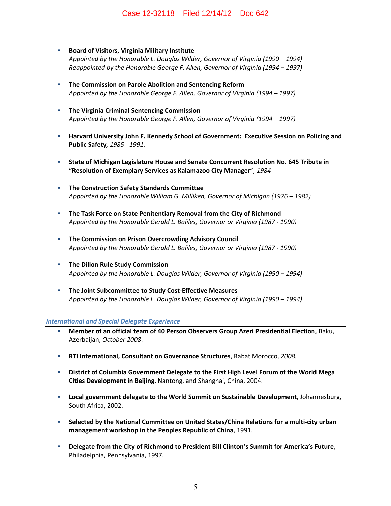#### Case 12-32118 Filed 12/14/12 Doc 642

- **Board of Visitors, Virginia Military Institute** *Appointed by the Honorable L. Douglas Wilder, Governor of Virginia (1990 – 1994) Reappointed by the Honorable George F. Allen, Governor of Virginia (1994 – 1997)*
- **The Commission on Parole Abolition and Sentencing Reform**  *Appointed by the Honorable George F. Allen, Governor of Virginia (1994 – 1997)*
- **The Virginia Criminal Sentencing Commission**  *Appointed by the Honorable George F. Allen, Governor of Virginia (1994 – 1997)*
- **Harvard University John F. Kennedy School of Government: Executive Session on Policing and Public Safety***, 1985 - 1991.*
- **State of Michigan Legislature House and Senate Concurrent Resolution No. 645 Tribute in "Resolution of Exemplary Services as Kalamazoo City Manager**", *1984*
- **The Construction Safety Standards Committee**  *Appointed by the Honorable William G. Milliken, Governor of Michigan (1976 – 1982)*
- **The Task Force on State Penitentiary Removal from the City of Richmond**  *Appointed by the Honorable Gerald L. Baliles, Governor or Virginia (1987 - 1990)*
- **The Commission on Prison Overcrowding Advisory Council** *Appointed by the Honorable Gerald L. Baliles, Governor or Virginia (1987 - 1990)*
- **The Dillon Rule Study Commission**  *Appointed by the Honorable L. Douglas Wilder, Governor of Virginia (1990 – 1994)*
- **The Joint Subcommittee to Study Cost-Effective Measures**  *Appointed by the Honorable L. Douglas Wilder, Governor of Virginia (1990 – 1994)*

#### *International and Special Delegate Experience*

- **Member of an official team of 40 Person Observers Group Azeri Presidential Election**, Baku, Azerbaijan, *October 2008*.
- **RTI International, Consultant on Governance Structures**, Rabat Morocco, *2008.*
- **District of Columbia Government Delegate to the First High Level Forum of the World Mega Cities Development in Beijing**, Nantong, and Shanghai, China, 2004.
- **Local government delegate to the World Summit on Sustainable Development**, Johannesburg, South Africa, 2002.
- **Selected by the National Committee on United States/China Relations for a multi-city urban management workshop in the Peoples Republic of China**, 1991.
- **Delegate from the City of Richmond to President Bill Clinton's Summit for America's Future**, Philadelphia, Pennsylvania, 1997.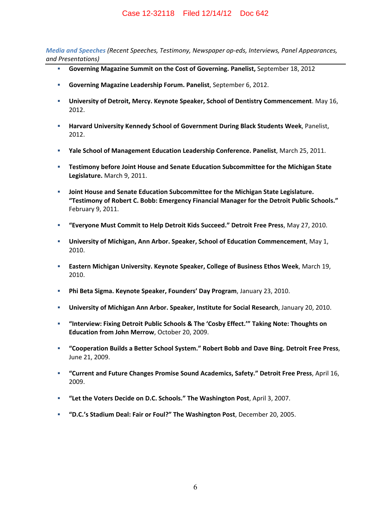*Media and Speeches (Recent Speeches, Testimony, Newspaper op-eds, Interviews, Panel Appearances, and Presentations)*

- **Governing Magazine Summit on the Cost of Governing. Panelist,** September 18, 2012
- **Governing Magazine Leadership Forum. Panelist**, September 6, 2012.
- **University of Detroit, Mercy. Keynote Speaker, School of Dentistry Commencement**. May 16, 2012.
- **Harvard University Kennedy School of Government During Black Students Week**, Panelist, 2012.
- **Yale School of Management Education Leadership Conference. Panelist**, March 25, 2011.
- **Testimony before Joint House and Senate Education Subcommittee for the Michigan State Legislature.** March 9, 2011.
- **Joint House and Senate Education Subcommittee for the Michigan State Legislature. "Testimony of Robert C. Bobb: Emergency Financial Manager for the Detroit Public Schools."** February 9, 2011.
- **"Everyone Must Commit to Help Detroit Kids Succeed." Detroit Free Press**, May 27, 2010.
- **University of Michigan, Ann Arbor. Speaker, School of Education Commencement**, May 1, 2010.
- **Eastern Michigan University. Keynote Speaker, College of Business Ethos Week**, March 19, 2010.
- **Phi Beta Sigma. Keynote Speaker, Founders' Day Program**, January 23, 2010.
- **University of Michigan Ann Arbor. Speaker, Institute for Social Research**, January 20, 2010.
- **"Interview: Fixing Detroit Public Schools & The 'Cosby Effect.'" Taking Note: Thoughts on Education from John Merrow**, October 20, 2009.
- **"Cooperation Builds a Better School System." Robert Bobb and Dave Bing. Detroit Free Press**, June 21, 2009.
- **"Current and Future Changes Promise Sound Academics, Safety." Detroit Free Press**, April 16, 2009.
- **"Let the Voters Decide on D.C. Schools." The Washington Post**, April 3, 2007.
- **"D.C.'s Stadium Deal: Fair or Foul?" The Washington Post**, December 20, 2005.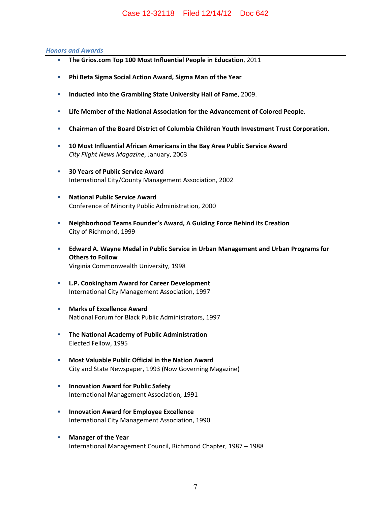#### *Honors and Awards*

- **The Grios.com Top 100 Most Influential People in Education**, 2011
- **Phi Beta Sigma Social Action Award, Sigma Man of the Year**
- **Inducted into the Grambling State University Hall of Fame**, 2009.
- **Life Member of the National Association for the Advancement of Colored People**.
- **Chairman of the Board District of Columbia Children Youth Investment Trust Corporation**.
- **10 Most Influential African Americans in the Bay Area Public Service Award**  *City Flight News Magazine*, January, 2003
- **30 Years of Public Service Award**  International City/County Management Association, 2002
- **National Public Service Award** Conference of Minority Public Administration, 2000
- **Neighborhood Teams Founder's Award, A Guiding Force Behind its Creation**  City of Richmond, 1999
- **Edward A. Wayne Medal in Public Service in Urban Management and Urban Programs for Others to Follow**  Virginia Commonwealth University, 1998
- **L.P. Cookingham Award for Career Development**  International City Management Association, 1997
- **Marks of Excellence Award**  National Forum for Black Public Administrators, 1997
- **The National Academy of Public Administration**  Elected Fellow, 1995
- **Most Valuable Public Official in the Nation Award**  City and State Newspaper, 1993 (Now Governing Magazine)
- **Innovation Award for Public Safety** International Management Association, 1991
- **Innovation Award for Employee Excellence** International City Management Association, 1990
- **Manager of the Year**  International Management Council, Richmond Chapter, 1987 – 1988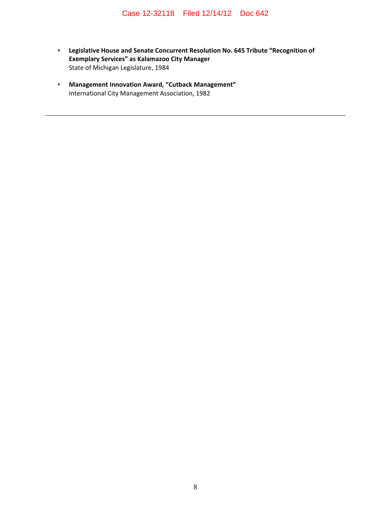- **Legislative House and Senate Concurrent Resolution No. 645 Tribute "Recognition of Exemplary Services" as Kalamazoo City Manager**  State of Michigan Legislature, 1984
- **Management Innovation Award, "Cutback Management"**  International City Management Association, 1982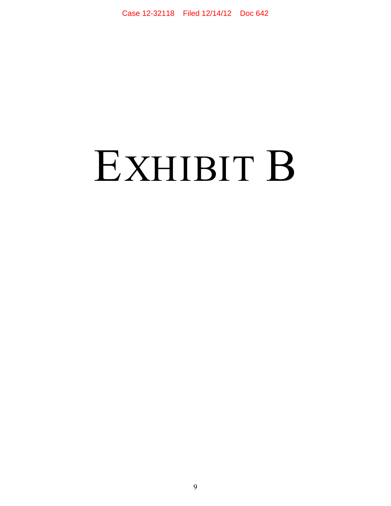# EXHIBIT B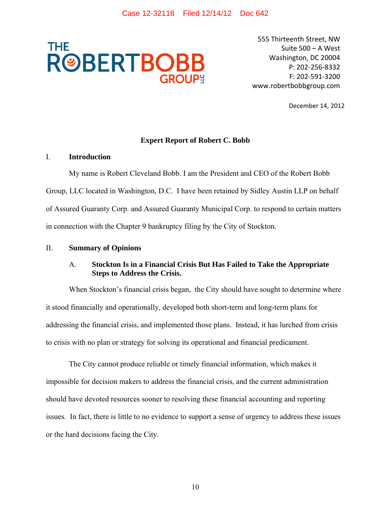

555 Thirteenth Street, NW Suite 500 – A West Washington, DC 20004 P: 202-256-8332 F: 202-591-3200 www.robertbobbgroup.com

December 14, 2012

## **Expert Report of Robert C. Bobb**

#### I. **Introduction**

My name is Robert Cleveland Bobb. I am the President and CEO of the Robert Bobb Group, LLC located in Washington, D.C. I have been retained by Sidley Austin LLP on behalf of Assured Guaranty Corp. and Assured Guaranty Municipal Corp. to respond to certain matters in connection with the Chapter 9 bankruptcy filing by the City of Stockton.

#### II. **Summary of Opinions**

## A. **Stockton Is in a Financial Crisis But Has Failed to Take the Appropriate Steps to Address the Crisis.**

When Stockton's financial crisis began, the City should have sought to determine where it stood financially and operationally, developed both short-term and long-term plans for addressing the financial crisis, and implemented those plans. Instead, it has lurched from crisis to crisis with no plan or strategy for solving its operational and financial predicament.

The City cannot produce reliable or timely financial information, which makes it impossible for decision makers to address the financial crisis, and the current administration should have devoted resources sooner to resolving these financial accounting and reporting issues. In fact, there is little to no evidence to support a sense of urgency to address these issues or the hard decisions facing the City.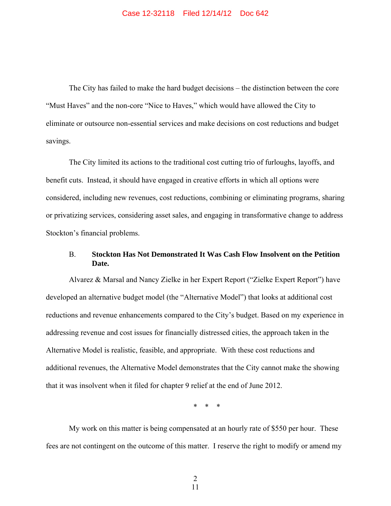The City has failed to make the hard budget decisions – the distinction between the core "Must Haves" and the non-core "Nice to Haves," which would have allowed the City to eliminate or outsource non-essential services and make decisions on cost reductions and budget savings.

The City limited its actions to the traditional cost cutting trio of furloughs, layoffs, and benefit cuts. Instead, it should have engaged in creative efforts in which all options were considered, including new revenues, cost reductions, combining or eliminating programs, sharing or privatizing services, considering asset sales, and engaging in transformative change to address Stockton's financial problems.

## B. **Stockton Has Not Demonstrated It Was Cash Flow Insolvent on the Petition Date.**

Alvarez & Marsal and Nancy Zielke in her Expert Report ("Zielke Expert Report") have developed an alternative budget model (the "Alternative Model") that looks at additional cost reductions and revenue enhancements compared to the City's budget. Based on my experience in addressing revenue and cost issues for financially distressed cities, the approach taken in the Alternative Model is realistic, feasible, and appropriate. With these cost reductions and additional revenues, the Alternative Model demonstrates that the City cannot make the showing that it was insolvent when it filed for chapter 9 relief at the end of June 2012.

\* \* \*

My work on this matter is being compensated at an hourly rate of \$550 per hour. These fees are not contingent on the outcome of this matter. I reserve the right to modify or amend my

 2 11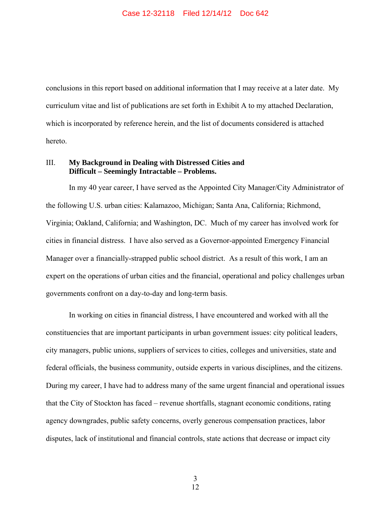conclusions in this report based on additional information that I may receive at a later date. My curriculum vitae and list of publications are set forth in Exhibit A to my attached Declaration, which is incorporated by reference herein, and the list of documents considered is attached hereto.

## III. **My Background in Dealing with Distressed Cities and Difficult – Seemingly Intractable – Problems.**

In my 40 year career, I have served as the Appointed City Manager/City Administrator of the following U.S. urban cities: Kalamazoo, Michigan; Santa Ana, California; Richmond, Virginia; Oakland, California; and Washington, DC. Much of my career has involved work for cities in financial distress. I have also served as a Governor-appointed Emergency Financial Manager over a financially-strapped public school district. As a result of this work, I am an expert on the operations of urban cities and the financial, operational and policy challenges urban governments confront on a day-to-day and long-term basis.

In working on cities in financial distress, I have encountered and worked with all the constituencies that are important participants in urban government issues: city political leaders, city managers, public unions, suppliers of services to cities, colleges and universities, state and federal officials, the business community, outside experts in various disciplines, and the citizens. During my career, I have had to address many of the same urgent financial and operational issues that the City of Stockton has faced – revenue shortfalls, stagnant economic conditions, rating agency downgrades, public safety concerns, overly generous compensation practices, labor disputes, lack of institutional and financial controls, state actions that decrease or impact city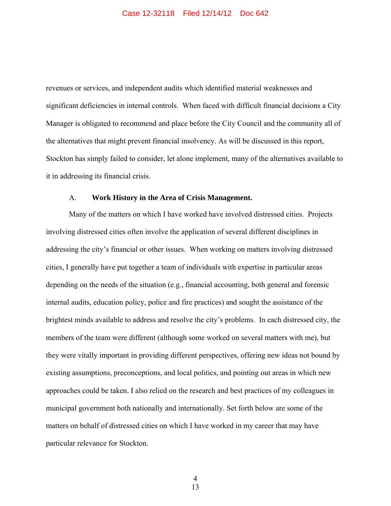revenues or services, and independent audits which identified material weaknesses and significant deficiencies in internal controls. When faced with difficult financial decisions a City Manager is obligated to recommend and place before the City Council and the community all of the alternatives that might prevent financial insolvency. As will be discussed in this report, Stockton has simply failed to consider, let alone implement, many of the alternatives available to it in addressing its financial crisis.

#### A. **Work History in the Area of Crisis Management.**

Many of the matters on which I have worked have involved distressed cities. Projects involving distressed cities often involve the application of several different disciplines in addressing the city's financial or other issues. When working on matters involving distressed cities, I generally have put together a team of individuals with expertise in particular areas depending on the needs of the situation (e.g., financial accounting, both general and forensic internal audits, education policy, police and fire practices) and sought the assistance of the brightest minds available to address and resolve the city's problems. In each distressed city, the members of the team were different (although some worked on several matters with me), but they were vitally important in providing different perspectives, offering new ideas not bound by existing assumptions, preconceptions, and local politics, and pointing out areas in which new approaches could be taken. I also relied on the research and best practices of my colleagues in municipal government both nationally and internationally. Set forth below are some of the matters on behalf of distressed cities on which I have worked in my career that may have particular relevance for Stockton.

 4 13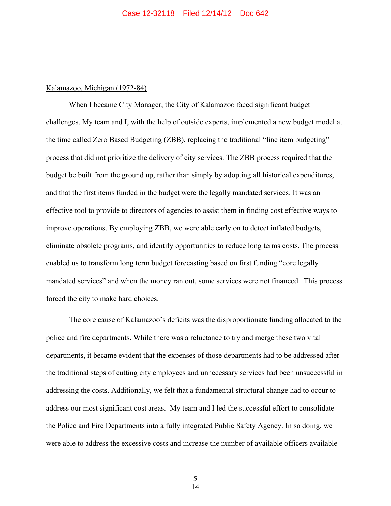#### Kalamazoo, Michigan (1972-84)

When I became City Manager, the City of Kalamazoo faced significant budget challenges. My team and I, with the help of outside experts, implemented a new budget model at the time called Zero Based Budgeting (ZBB), replacing the traditional "line item budgeting" process that did not prioritize the delivery of city services. The ZBB process required that the budget be built from the ground up, rather than simply by adopting all historical expenditures, and that the first items funded in the budget were the legally mandated services. It was an effective tool to provide to directors of agencies to assist them in finding cost effective ways to improve operations. By employing ZBB, we were able early on to detect inflated budgets, eliminate obsolete programs, and identify opportunities to reduce long terms costs. The process enabled us to transform long term budget forecasting based on first funding "core legally mandated services" and when the money ran out, some services were not financed. This process forced the city to make hard choices.

The core cause of Kalamazoo's deficits was the disproportionate funding allocated to the police and fire departments. While there was a reluctance to try and merge these two vital departments, it became evident that the expenses of those departments had to be addressed after the traditional steps of cutting city employees and unnecessary services had been unsuccessful in addressing the costs. Additionally, we felt that a fundamental structural change had to occur to address our most significant cost areas. My team and I led the successful effort to consolidate the Police and Fire Departments into a fully integrated Public Safety Agency. In so doing, we were able to address the excessive costs and increase the number of available officers available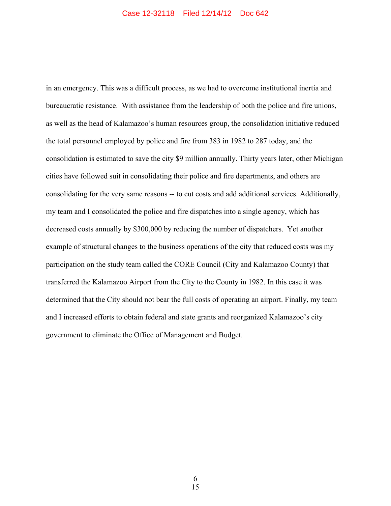in an emergency. This was a difficult process, as we had to overcome institutional inertia and bureaucratic resistance. With assistance from the leadership of both the police and fire unions, as well as the head of Kalamazoo's human resources group, the consolidation initiative reduced the total personnel employed by police and fire from 383 in 1982 to 287 today, and the consolidation is estimated to save the city \$9 million annually. Thirty years later, other Michigan cities have followed suit in consolidating their police and fire departments, and others are consolidating for the very same reasons -- to cut costs and add additional services. Additionally, my team and I consolidated the police and fire dispatches into a single agency, which has decreased costs annually by \$300,000 by reducing the number of dispatchers. Yet another example of structural changes to the business operations of the city that reduced costs was my participation on the study team called the CORE Council (City and Kalamazoo County) that transferred the Kalamazoo Airport from the City to the County in 1982. In this case it was determined that the City should not bear the full costs of operating an airport. Finally, my team and I increased efforts to obtain federal and state grants and reorganized Kalamazoo's city government to eliminate the Office of Management and Budget.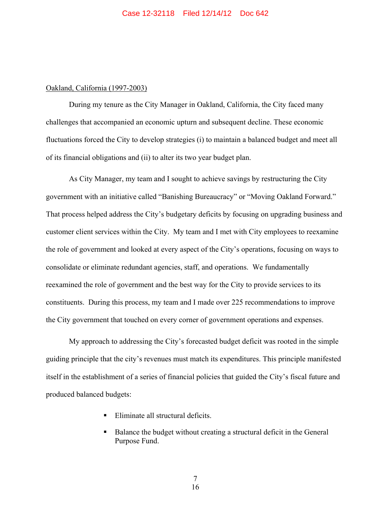#### Oakland, California (1997-2003)

During my tenure as the City Manager in Oakland, California, the City faced many challenges that accompanied an economic upturn and subsequent decline. These economic fluctuations forced the City to develop strategies (i) to maintain a balanced budget and meet all of its financial obligations and (ii) to alter its two year budget plan.

As City Manager, my team and I sought to achieve savings by restructuring the City government with an initiative called "Banishing Bureaucracy" or "Moving Oakland Forward." That process helped address the City's budgetary deficits by focusing on upgrading business and customer client services within the City. My team and I met with City employees to reexamine the role of government and looked at every aspect of the City's operations, focusing on ways to consolidate or eliminate redundant agencies, staff, and operations. We fundamentally reexamined the role of government and the best way for the City to provide services to its constituents. During this process, my team and I made over 225 recommendations to improve the City government that touched on every corner of government operations and expenses.

My approach to addressing the City's forecasted budget deficit was rooted in the simple guiding principle that the city's revenues must match its expenditures. This principle manifested itself in the establishment of a series of financial policies that guided the City's fiscal future and produced balanced budgets:

- Eliminate all structural deficits.
- Balance the budget without creating a structural deficit in the General Purpose Fund.

 7 16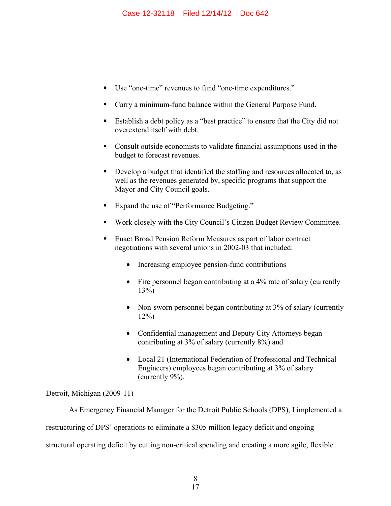- Use "one-time" revenues to fund "one-time expenditures."
- Carry a minimum-fund balance within the General Purpose Fund.
- Establish a debt policy as a "best practice" to ensure that the City did not overextend itself with debt.
- Consult outside economists to validate financial assumptions used in the budget to forecast revenues.
- Develop a budget that identified the staffing and resources allocated to, as well as the revenues generated by, specific programs that support the Mayor and City Council goals.
- Expand the use of "Performance Budgeting."
- Work closely with the City Council's Citizen Budget Review Committee.
- Enact Broad Pension Reform Measures as part of labor contract negotiations with several unions in 2002-03 that included:
	- Increasing employee pension-fund contributions
	- Fire personnel began contributing at a 4% rate of salary (currently  $13\%)$
	- Non-sworn personnel began contributing at 3% of salary (currently 12%)
	- Confidential management and Deputy City Attorneys began contributing at 3% of salary (currently 8%) and
	- Local 21 (International Federation of Professional and Technical Engineers) employees began contributing at 3% of salary (currently 9%).

## Detroit, Michigan (2009-11)

As Emergency Financial Manager for the Detroit Public Schools (DPS), I implemented a restructuring of DPS' operations to eliminate a \$305 million legacy deficit and ongoing structural operating deficit by cutting non-critical spending and creating a more agile, flexible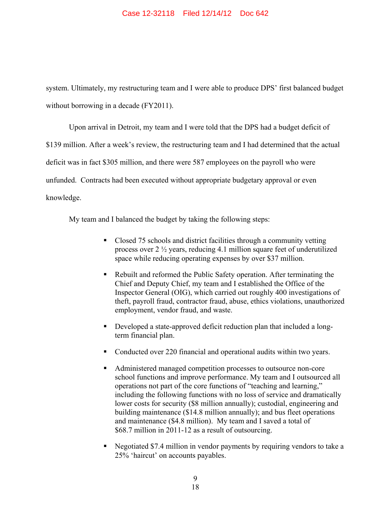system. Ultimately, my restructuring team and I were able to produce DPS' first balanced budget without borrowing in a decade (FY2011).

Upon arrival in Detroit, my team and I were told that the DPS had a budget deficit of \$139 million. After a week's review, the restructuring team and I had determined that the actual deficit was in fact \$305 million, and there were 587 employees on the payroll who were unfunded. Contracts had been executed without appropriate budgetary approval or even knowledge.

My team and I balanced the budget by taking the following steps:

- Closed 75 schools and district facilities through a community vetting process over 2 ½ years, reducing 4.1 million square feet of underutilized space while reducing operating expenses by over \$37 million.
- Rebuilt and reformed the Public Safety operation. After terminating the Chief and Deputy Chief, my team and I established the Office of the Inspector General (OIG), which carried out roughly 400 investigations of theft, payroll fraud, contractor fraud, abuse, ethics violations, unauthorized employment, vendor fraud, and waste.
- Developed a state-approved deficit reduction plan that included a longterm financial plan.
- Conducted over 220 financial and operational audits within two years.
- Administered managed competition processes to outsource non-core school functions and improve performance. My team and I outsourced all operations not part of the core functions of "teaching and learning," including the following functions with no loss of service and dramatically lower costs for security (\$8 million annually); custodial, engineering and building maintenance (\$14.8 million annually); and bus fleet operations and maintenance (\$4.8 million). My team and I saved a total of \$68.7 million in 2011-12 as a result of outsourcing.
- Negotiated \$7.4 million in vendor payments by requiring vendors to take a 25% 'haircut' on accounts payables.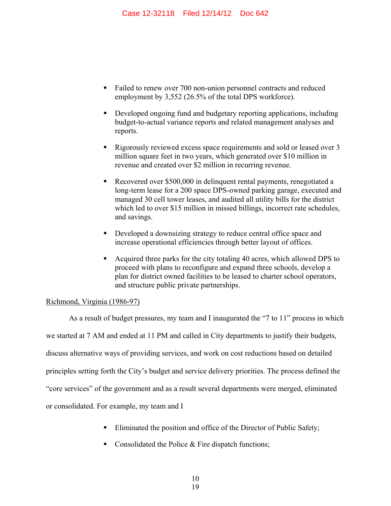- Failed to renew over 700 non-union personnel contracts and reduced employment by 3,552 (26.5% of the total DPS workforce).
- Developed ongoing fund and budgetary reporting applications, including budget-to-actual variance reports and related management analyses and reports.
- Rigorously reviewed excess space requirements and sold or leased over 3 million square feet in two years, which generated over \$10 million in revenue and created over \$2 million in recurring revenue.
- Recovered over \$500,000 in delinquent rental payments, renegotiated a long-term lease for a 200 space DPS-owned parking garage, executed and managed 30 cell tower leases, and audited all utility bills for the district which led to over \$15 million in missed billings, incorrect rate schedules, and savings.
- Developed a downsizing strategy to reduce central office space and increase operational efficiencies through better layout of offices.
- Acquired three parks for the city totaling 40 acres, which allowed DPS to proceed with plans to reconfigure and expand three schools, develop a plan for district owned facilities to be leased to charter school operators, and structure public private partnerships.

## Richmond, Virginia (1986-97)

As a result of budget pressures, my team and I inaugurated the "7 to 11" process in which we started at 7 AM and ended at 11 PM and called in City departments to justify their budgets, discuss alternative ways of providing services, and work on cost reductions based on detailed principles setting forth the City's budget and service delivery priorities. The process defined the "core services" of the government and as a result several departments were merged, eliminated or consolidated. For example, my team and I

- **Eliminated the position and office of the Director of Public Safety;**
- Consolidated the Police  $&$  Fire dispatch functions;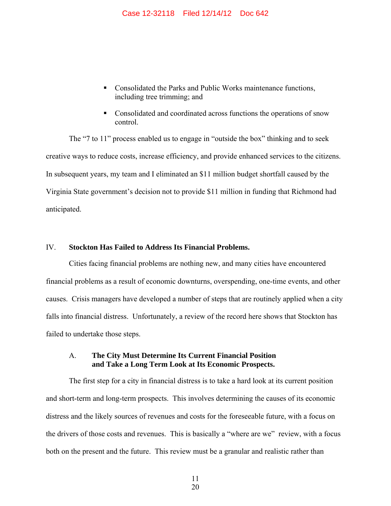- Consolidated the Parks and Public Works maintenance functions, including tree trimming; and
- Consolidated and coordinated across functions the operations of snow control.

The "7 to 11" process enabled us to engage in "outside the box" thinking and to seek creative ways to reduce costs, increase efficiency, and provide enhanced services to the citizens. In subsequent years, my team and I eliminated an \$11 million budget shortfall caused by the Virginia State government's decision not to provide \$11 million in funding that Richmond had anticipated.

## IV. **Stockton Has Failed to Address Its Financial Problems.**

Cities facing financial problems are nothing new, and many cities have encountered financial problems as a result of economic downturns, overspending, one-time events, and other causes. Crisis managers have developed a number of steps that are routinely applied when a city falls into financial distress. Unfortunately, a review of the record here shows that Stockton has failed to undertake those steps.

#### A. **The City Must Determine Its Current Financial Position and Take a Long Term Look at Its Economic Prospects.**

The first step for a city in financial distress is to take a hard look at its current position and short-term and long-term prospects. This involves determining the causes of its economic distress and the likely sources of revenues and costs for the foreseeable future, with a focus on the drivers of those costs and revenues. This is basically a "where are we" review, with a focus both on the present and the future. This review must be a granular and realistic rather than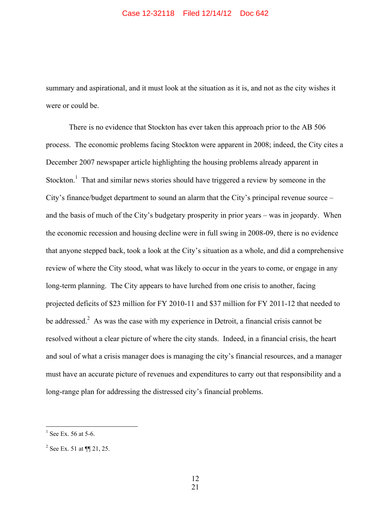#### Case 12-32118 Filed 12/14/12 Doc 642

summary and aspirational, and it must look at the situation as it is, and not as the city wishes it were or could be.

There is no evidence that Stockton has ever taken this approach prior to the AB 506 process. The economic problems facing Stockton were apparent in 2008; indeed, the City cites a December 2007 newspaper article highlighting the housing problems already apparent in Stockton.<sup>1</sup> That and similar news stories should have triggered a review by someone in the City's finance/budget department to sound an alarm that the City's principal revenue source – and the basis of much of the City's budgetary prosperity in prior years – was in jeopardy. When the economic recession and housing decline were in full swing in 2008-09, there is no evidence that anyone stepped back, took a look at the City's situation as a whole, and did a comprehensive review of where the City stood, what was likely to occur in the years to come, or engage in any long-term planning. The City appears to have lurched from one crisis to another, facing projected deficits of \$23 million for FY 2010-11 and \$37 million for FY 2011-12 that needed to be addressed.<sup>2</sup> As was the case with my experience in Detroit, a financial crisis cannot be resolved without a clear picture of where the city stands. Indeed, in a financial crisis, the heart and soul of what a crisis manager does is managing the city's financial resources, and a manager must have an accurate picture of revenues and expenditures to carry out that responsibility and a long-range plan for addressing the distressed city's financial problems.

 $\frac{1}{1}$  See Ex. 56 at 5-6.

<sup>&</sup>lt;sup>2</sup> See Ex. 51 at  $\P$  21, 25.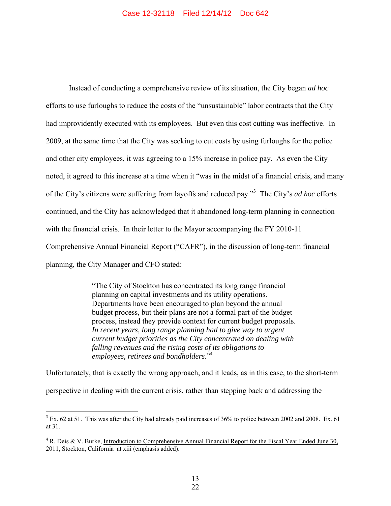Instead of conducting a comprehensive review of its situation, the City began *ad hoc*  efforts to use furloughs to reduce the costs of the "unsustainable" labor contracts that the City had improvidently executed with its employees. But even this cost cutting was ineffective. In 2009, at the same time that the City was seeking to cut costs by using furloughs for the police and other city employees, it was agreeing to a 15% increase in police pay. As even the City noted, it agreed to this increase at a time when it "was in the midst of a financial crisis, and many of the City's citizens were suffering from layoffs and reduced pay."<sup>3</sup> The City's *ad hoc* efforts continued, and the City has acknowledged that it abandoned long-term planning in connection with the financial crisis. In their letter to the Mayor accompanying the FY 2010-11 Comprehensive Annual Financial Report ("CAFR"), in the discussion of long-term financial planning, the City Manager and CFO stated:

> "The City of Stockton has concentrated its long range financial planning on capital investments and its utility operations. Departments have been encouraged to plan beyond the annual budget process, but their plans are not a formal part of the budget process, instead they provide context for current budget proposals. *In recent years, long range planning had to give way to urgent current budget priorities as the City concentrated on dealing with falling revenues and the rising costs of its obligations to employees, retirees and bondholders*."<sup>4</sup>

Unfortunately, that is exactly the wrong approach, and it leads, as in this case, to the short-term perspective in dealing with the current crisis, rather than stepping back and addressing the

<sup>&</sup>lt;sup>3</sup> Ex. 62 at 51. This was after the City had already paid increases of 36% to police between 2002 and 2008. Ex. 61 at 31.

<sup>&</sup>lt;sup>4</sup> R. Deis & V. Burke, Introduction to Comprehensive Annual Financial Report for the Fiscal Year Ended June 30, 2011, Stockton, California at xiii (emphasis added).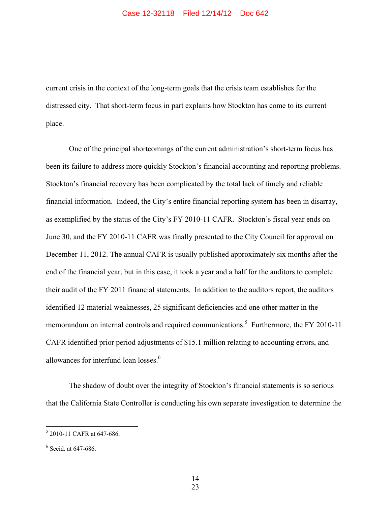current crisis in the context of the long-term goals that the crisis team establishes for the distressed city. That short-term focus in part explains how Stockton has come to its current place.

One of the principal shortcomings of the current administration's short-term focus has been its failure to address more quickly Stockton's financial accounting and reporting problems. Stockton's financial recovery has been complicated by the total lack of timely and reliable financial information. Indeed, the City's entire financial reporting system has been in disarray, as exemplified by the status of the City's FY 2010-11 CAFR. Stockton's fiscal year ends on June 30, and the FY 2010-11 CAFR was finally presented to the City Council for approval on December 11, 2012. The annual CAFR is usually published approximately six months after the end of the financial year, but in this case, it took a year and a half for the auditors to complete their audit of the FY 2011 financial statements. In addition to the auditors report, the auditors identified 12 material weaknesses, 25 significant deficiencies and one other matter in the memorandum on internal controls and required communications.<sup>5</sup> Furthermore, the FY 2010-11 CAFR identified prior period adjustments of \$15.1 million relating to accounting errors, and allowances for interfund loan losses.<sup>6</sup>

The shadow of doubt over the integrity of Stockton's financial statements is so serious that the California State Controller is conducting his own separate investigation to determine the

<sup>5</sup> 2010-11 CAFR at 647-686.

<sup>6</sup> Seeid. at 647-686.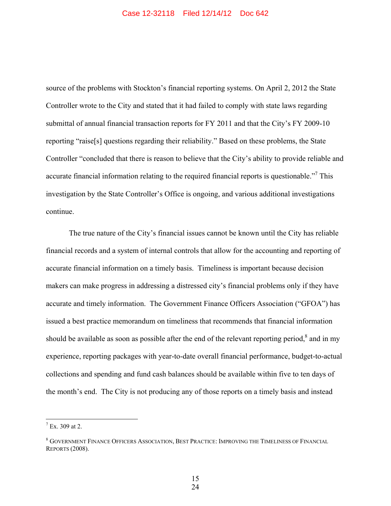source of the problems with Stockton's financial reporting systems. On April 2, 2012 the State Controller wrote to the City and stated that it had failed to comply with state laws regarding submittal of annual financial transaction reports for FY 2011 and that the City's FY 2009-10 reporting "raise[s] questions regarding their reliability." Based on these problems, the State Controller "concluded that there is reason to believe that the City's ability to provide reliable and accurate financial information relating to the required financial reports is questionable."<sup>7</sup> This investigation by the State Controller's Office is ongoing, and various additional investigations continue.

The true nature of the City's financial issues cannot be known until the City has reliable financial records and a system of internal controls that allow for the accounting and reporting of accurate financial information on a timely basis. Timeliness is important because decision makers can make progress in addressing a distressed city's financial problems only if they have accurate and timely information. The Government Finance Officers Association ("GFOA") has issued a best practice memorandum on timeliness that recommends that financial information should be available as soon as possible after the end of the relevant reporting period, $8$  and in my experience, reporting packages with year-to-date overall financial performance, budget-to-actual collections and spending and fund cash balances should be available within five to ten days of the month's end. The City is not producing any of those reports on a timely basis and instead

 $\frac{1}{7}$  Ex. 309 at 2.

 $^8$  Government Finance Officers Association, Best Practice: Improving the Timeliness of Financial REPORTS (2008).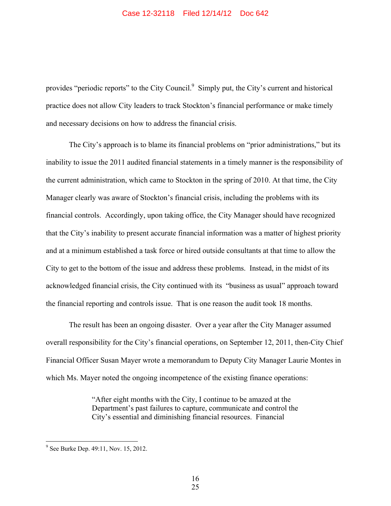provides "periodic reports" to the City Council.<sup>9</sup> Simply put, the City's current and historical practice does not allow City leaders to track Stockton's financial performance or make timely and necessary decisions on how to address the financial crisis.

The City's approach is to blame its financial problems on "prior administrations," but its inability to issue the 2011 audited financial statements in a timely manner is the responsibility of the current administration, which came to Stockton in the spring of 2010. At that time, the City Manager clearly was aware of Stockton's financial crisis, including the problems with its financial controls. Accordingly, upon taking office, the City Manager should have recognized that the City's inability to present accurate financial information was a matter of highest priority and at a minimum established a task force or hired outside consultants at that time to allow the City to get to the bottom of the issue and address these problems. Instead, in the midst of its acknowledged financial crisis, the City continued with its "business as usual" approach toward the financial reporting and controls issue. That is one reason the audit took 18 months.

The result has been an ongoing disaster. Over a year after the City Manager assumed overall responsibility for the City's financial operations, on September 12, 2011, then-City Chief Financial Officer Susan Mayer wrote a memorandum to Deputy City Manager Laurie Montes in which Ms. Mayer noted the ongoing incompetence of the existing finance operations:

> "After eight months with the City, I continue to be amazed at the Department's past failures to capture, communicate and control the City's essential and diminishing financial resources. Financial

<sup>&</sup>lt;sup>9</sup> See Burke Dep. 49:11, Nov. 15, 2012.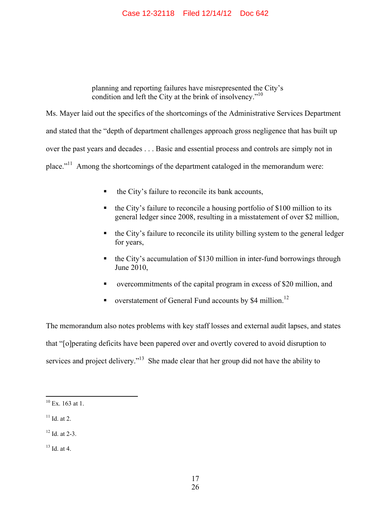#### Case 12-32118 Filed 12/14/12 Doc 642

planning and reporting failures have misrepresented the City's condition and left the City at the brink of insolvency."<sup>10</sup>

Ms. Mayer laid out the specifics of the shortcomings of the Administrative Services Department and stated that the "depth of department challenges approach gross negligence that has built up over the past years and decades . . . Basic and essential process and controls are simply not in place."11 Among the shortcomings of the department cataloged in the memorandum were:

- the City's failure to reconcile its bank accounts,
- the City's failure to reconcile a housing portfolio of \$100 million to its general ledger since 2008, resulting in a misstatement of over \$2 million,
- the City's failure to reconcile its utility billing system to the general ledger for years,
- the City's accumulation of \$130 million in inter-fund borrowings through June 2010,
- overcommitments of the capital program in excess of \$20 million, and
- verstatement of General Fund accounts by \$4 million.<sup>12</sup>

The memorandum also notes problems with key staff losses and external audit lapses, and states that "[o]perating deficits have been papered over and overtly covered to avoid disruption to services and project delivery."<sup>13</sup> She made clear that her group did not have the ability to

 $11$  Id. at 2.

- $12$  Id. at 2-3.
- $13$  Id. at 4.

 $10$  Ex. 163 at 1.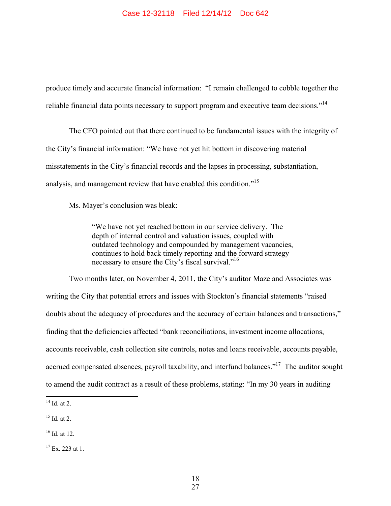produce timely and accurate financial information: "I remain challenged to cobble together the reliable financial data points necessary to support program and executive team decisions."<sup>14</sup>

The CFO pointed out that there continued to be fundamental issues with the integrity of the City's financial information: "We have not yet hit bottom in discovering material misstatements in the City's financial records and the lapses in processing, substantiation, analysis, and management review that have enabled this condition."<sup>15</sup>

Ms. Mayer's conclusion was bleak:

"We have not yet reached bottom in our service delivery. The depth of internal control and valuation issues, coupled with outdated technology and compounded by management vacancies, continues to hold back timely reporting and the forward strategy necessary to ensure the City's fiscal survival."16

Two months later, on November 4, 2011, the City's auditor Maze and Associates was writing the City that potential errors and issues with Stockton's financial statements "raised doubts about the adequacy of procedures and the accuracy of certain balances and transactions," finding that the deficiencies affected "bank reconciliations, investment income allocations, accounts receivable, cash collection site controls, notes and loans receivable, accounts payable, accrued compensated absences, payroll taxability, and interfund balances."<sup>17</sup> The auditor sought to amend the audit contract as a result of these problems, stating: "In my 30 years in auditing

 $\overline{a}$ 

 $16$  Id. at 12.

 $14$  Id. at 2.

 $15$  Id. at 2.

 $17$  Ex. 223 at 1.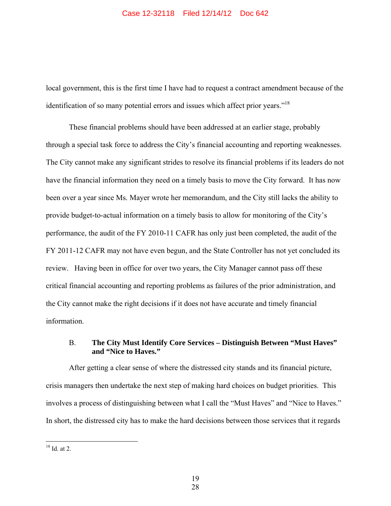#### Case 12-32118 Filed 12/14/12 Doc 642

local government, this is the first time I have had to request a contract amendment because of the identification of so many potential errors and issues which affect prior years."18

These financial problems should have been addressed at an earlier stage, probably through a special task force to address the City's financial accounting and reporting weaknesses. The City cannot make any significant strides to resolve its financial problems if its leaders do not have the financial information they need on a timely basis to move the City forward. It has now been over a year since Ms. Mayer wrote her memorandum, and the City still lacks the ability to provide budget-to-actual information on a timely basis to allow for monitoring of the City's performance, the audit of the FY 2010-11 CAFR has only just been completed, the audit of the FY 2011-12 CAFR may not have even begun, and the State Controller has not yet concluded its review. Having been in office for over two years, the City Manager cannot pass off these critical financial accounting and reporting problems as failures of the prior administration, and the City cannot make the right decisions if it does not have accurate and timely financial information.

# B. **The City Must Identify Core Services – Distinguish Between "Must Haves" and "Nice to Haves."**

After getting a clear sense of where the distressed city stands and its financial picture, crisis managers then undertake the next step of making hard choices on budget priorities. This involves a process of distinguishing between what I call the "Must Haves" and "Nice to Haves." In short, the distressed city has to make the hard decisions between those services that it regards

 $18$  Id. at 2.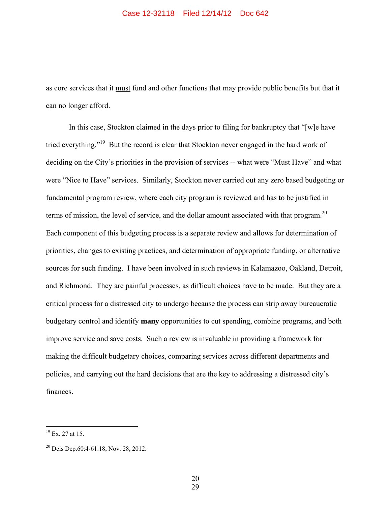as core services that it must fund and other functions that may provide public benefits but that it can no longer afford.

In this case, Stockton claimed in the days prior to filing for bankruptcy that "[w]e have tried everything."<sup>19</sup> But the record is clear that Stockton never engaged in the hard work of deciding on the City's priorities in the provision of services -- what were "Must Have" and what were "Nice to Have" services. Similarly, Stockton never carried out any zero based budgeting or fundamental program review, where each city program is reviewed and has to be justified in terms of mission, the level of service, and the dollar amount associated with that program.<sup>20</sup> Each component of this budgeting process is a separate review and allows for determination of priorities, changes to existing practices, and determination of appropriate funding, or alternative sources for such funding. I have been involved in such reviews in Kalamazoo, Oakland, Detroit, and Richmond. They are painful processes, as difficult choices have to be made. But they are a critical process for a distressed city to undergo because the process can strip away bureaucratic budgetary control and identify **many** opportunities to cut spending, combine programs, and both improve service and save costs. Such a review is invaluable in providing a framework for making the difficult budgetary choices, comparing services across different departments and policies, and carrying out the hard decisions that are the key to addressing a distressed city's finances.

 $\overline{a}$ 

 20 29

 $^{19}$  Ex. 27 at 15.

<sup>20</sup> Deis Dep.60:4-61:18, Nov. 28, 2012.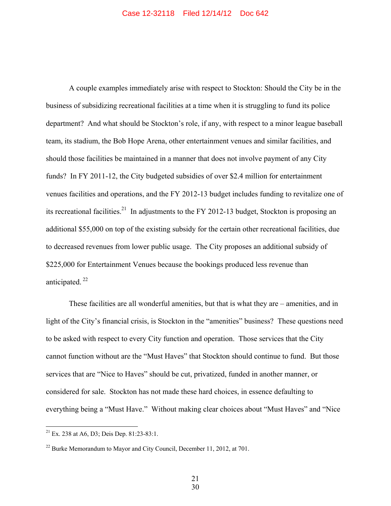A couple examples immediately arise with respect to Stockton: Should the City be in the business of subsidizing recreational facilities at a time when it is struggling to fund its police department? And what should be Stockton's role, if any, with respect to a minor league baseball team, its stadium, the Bob Hope Arena, other entertainment venues and similar facilities, and should those facilities be maintained in a manner that does not involve payment of any City funds? In FY 2011-12, the City budgeted subsidies of over \$2.4 million for entertainment venues facilities and operations, and the FY 2012-13 budget includes funding to revitalize one of its recreational facilities.<sup>21</sup> In adjustments to the FY 2012-13 budget, Stockton is proposing an additional \$55,000 on top of the existing subsidy for the certain other recreational facilities, due to decreased revenues from lower public usage. The City proposes an additional subsidy of \$225,000 for Entertainment Venues because the bookings produced less revenue than anticipated. 22

These facilities are all wonderful amenities, but that is what they are – amenities, and in light of the City's financial crisis, is Stockton in the "amenities" business? These questions need to be asked with respect to every City function and operation. Those services that the City cannot function without are the "Must Haves" that Stockton should continue to fund. But those services that are "Nice to Haves" should be cut, privatized, funded in another manner, or considered for sale. Stockton has not made these hard choices, in essence defaulting to everything being a "Must Have." Without making clear choices about "Must Haves" and "Nice

 $21$  Ex. 238 at A6, D3; Deis Dep. 81:23-83:1.

 $22$  Burke Memorandum to Mayor and City Council, December 11, 2012, at 701.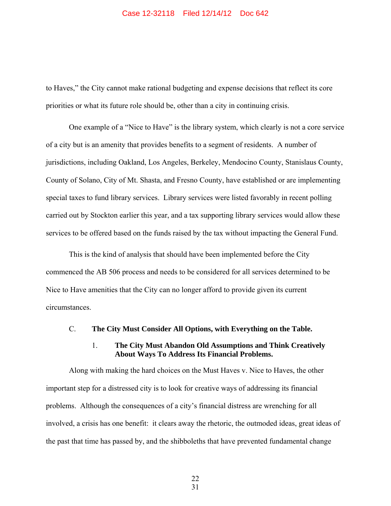#### Case 12-32118 Filed 12/14/12 Doc 642

to Haves," the City cannot make rational budgeting and expense decisions that reflect its core priorities or what its future role should be, other than a city in continuing crisis.

One example of a "Nice to Have" is the library system, which clearly is not a core service of a city but is an amenity that provides benefits to a segment of residents. A number of jurisdictions, including Oakland, Los Angeles, Berkeley, Mendocino County, Stanislaus County, County of Solano, City of Mt. Shasta, and Fresno County, have established or are implementing special taxes to fund library services. Library services were listed favorably in recent polling carried out by Stockton earlier this year, and a tax supporting library services would allow these services to be offered based on the funds raised by the tax without impacting the General Fund.

This is the kind of analysis that should have been implemented before the City commenced the AB 506 process and needs to be considered for all services determined to be Nice to Have amenities that the City can no longer afford to provide given its current circumstances.

#### C. **The City Must Consider All Options, with Everything on the Table.**

#### 1. **The City Must Abandon Old Assumptions and Think Creatively About Ways To Address Its Financial Problems.**

Along with making the hard choices on the Must Haves v. Nice to Haves, the other important step for a distressed city is to look for creative ways of addressing its financial problems. Although the consequences of a city's financial distress are wrenching for all involved, a crisis has one benefit: it clears away the rhetoric, the outmoded ideas, great ideas of the past that time has passed by, and the shibboleths that have prevented fundamental change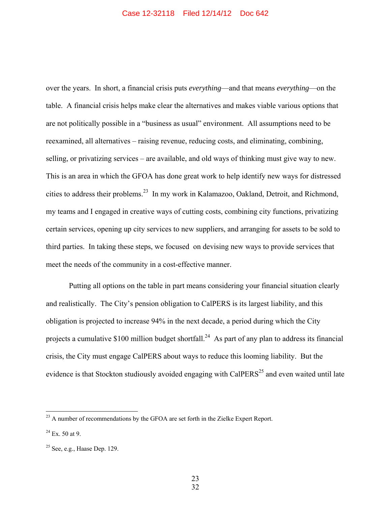over the years. In short, a financial crisis puts *everything*—and that means *everything*—on the table. A financial crisis helps make clear the alternatives and makes viable various options that are not politically possible in a "business as usual" environment. All assumptions need to be reexamined, all alternatives – raising revenue, reducing costs, and eliminating, combining, selling, or privatizing services – are available, and old ways of thinking must give way to new. This is an area in which the GFOA has done great work to help identify new ways for distressed cities to address their problems.23 In my work in Kalamazoo, Oakland, Detroit, and Richmond, my teams and I engaged in creative ways of cutting costs, combining city functions, privatizing certain services, opening up city services to new suppliers, and arranging for assets to be sold to third parties. In taking these steps, we focused on devising new ways to provide services that meet the needs of the community in a cost-effective manner.

Putting all options on the table in part means considering your financial situation clearly and realistically. The City's pension obligation to CalPERS is its largest liability, and this obligation is projected to increase 94% in the next decade, a period during which the City projects a cumulative \$100 million budget shortfall.<sup>24</sup> As part of any plan to address its financial crisis, the City must engage CalPERS about ways to reduce this looming liability. But the evidence is that Stockton studiously avoided engaging with CalPERS<sup>25</sup> and even waited until late

 $^{23}$  A number of recommendations by the GFOA are set forth in the Zielke Expert Report.

 $24$  Ex. 50 at 9.

 $25$  See, e.g., Haase Dep. 129.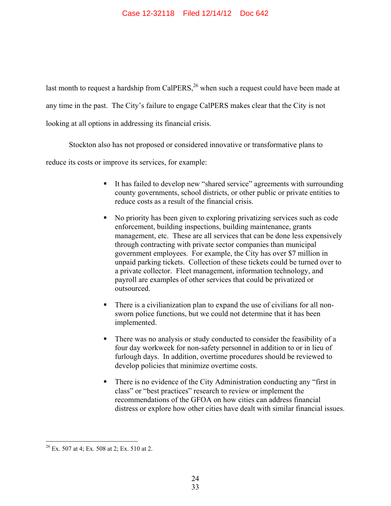last month to request a hardship from CalPERS,<sup>26</sup> when such a request could have been made at any time in the past. The City's failure to engage CalPERS makes clear that the City is not looking at all options in addressing its financial crisis.

Stockton also has not proposed or considered innovative or transformative plans to

reduce its costs or improve its services, for example:

- It has failed to develop new "shared service" agreements with surrounding county governments, school districts, or other public or private entities to reduce costs as a result of the financial crisis.
- No priority has been given to exploring privatizing services such as code enforcement, building inspections, building maintenance, grants management, etc. These are all services that can be done less expensively through contracting with private sector companies than municipal government employees. For example, the City has over \$7 million in unpaid parking tickets. Collection of these tickets could be turned over to a private collector. Fleet management, information technology, and payroll are examples of other services that could be privatized or outsourced.
- There is a civilianization plan to expand the use of civilians for all nonsworn police functions, but we could not determine that it has been implemented.
- There was no analysis or study conducted to consider the feasibility of a four day workweek for non-safety personnel in addition to or in lieu of furlough days. In addition, overtime procedures should be reviewed to develop policies that minimize overtime costs.
- There is no evidence of the City Administration conducting any "first in class" or "best practices" research to review or implement the recommendations of the GFOA on how cities can address financial distress or explore how other cities have dealt with similar financial issues.

 $\overline{a}$  $2^6$  Ex. 507 at 4; Ex. 508 at 2; Ex. 510 at 2.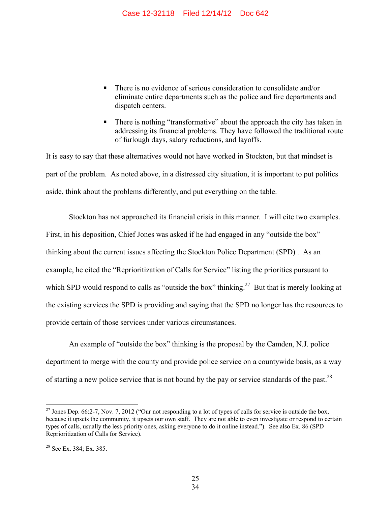- There is no evidence of serious consideration to consolidate and/or eliminate entire departments such as the police and fire departments and dispatch centers.
- There is nothing "transformative" about the approach the city has taken in addressing its financial problems. They have followed the traditional route of furlough days, salary reductions, and layoffs.

It is easy to say that these alternatives would not have worked in Stockton, but that mindset is part of the problem. As noted above, in a distressed city situation, it is important to put politics aside, think about the problems differently, and put everything on the table.

Stockton has not approached its financial crisis in this manner. I will cite two examples. First, in his deposition, Chief Jones was asked if he had engaged in any "outside the box" thinking about the current issues affecting the Stockton Police Department (SPD) . As an example, he cited the "Reprioritization of Calls for Service" listing the priorities pursuant to which SPD would respond to calls as "outside the box" thinking.<sup>27</sup> But that is merely looking at the existing services the SPD is providing and saying that the SPD no longer has the resources to provide certain of those services under various circumstances.

An example of "outside the box" thinking is the proposal by the Camden, N.J. police department to merge with the county and provide police service on a countywide basis, as a way of starting a new police service that is not bound by the pay or service standards of the past.<sup>28</sup>

<u>.</u>

<sup>&</sup>lt;sup>27</sup> Jones Dep. 66:2-7, Nov. 7, 2012 ("Our not responding to a lot of types of calls for service is outside the box, because it upsets the community, it upsets our own staff. They are not able to even investigate or respond to certain types of calls, usually the less priority ones, asking everyone to do it online instead."). See also Ex. 86 (SPD Reprioritization of Calls for Service).

 $28$  See Ex. 384; Ex. 385.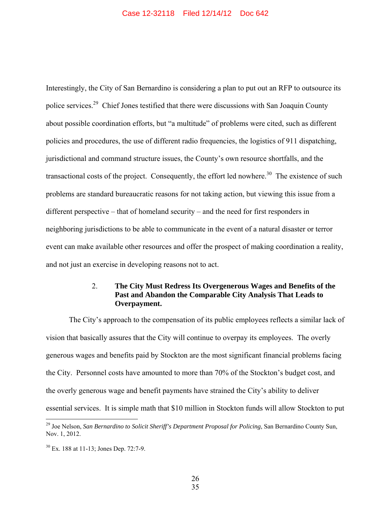Interestingly, the City of San Bernardino is considering a plan to put out an RFP to outsource its police services.29 Chief Jones testified that there were discussions with San Joaquin County about possible coordination efforts, but "a multitude" of problems were cited, such as different policies and procedures, the use of different radio frequencies, the logistics of 911 dispatching, jurisdictional and command structure issues, the County's own resource shortfalls, and the transactional costs of the project. Consequently, the effort led nowhere. $30$  The existence of such problems are standard bureaucratic reasons for not taking action, but viewing this issue from a different perspective – that of homeland security – and the need for first responders in neighboring jurisdictions to be able to communicate in the event of a natural disaster or terror event can make available other resources and offer the prospect of making coordination a reality, and not just an exercise in developing reasons not to act.

## 2. **The City Must Redress Its Overgenerous Wages and Benefits of the Past and Abandon the Comparable City Analysis That Leads to Overpayment.**

The City's approach to the compensation of its public employees reflects a similar lack of vision that basically assures that the City will continue to overpay its employees. The overly generous wages and benefits paid by Stockton are the most significant financial problems facing the City. Personnel costs have amounted to more than 70% of the Stockton's budget cost, and the overly generous wage and benefit payments have strained the City's ability to deliver essential services. It is simple math that \$10 million in Stockton funds will allow Stockton to put

<sup>29</sup> Joe Nelson, *San Bernardino to Solicit Sheriff's Department Proposal for Policing*, San Bernardino County Sun, Nov. 1, 2012.

<sup>30</sup> Ex. 188 at 11-13; Jones Dep. 72:7-9.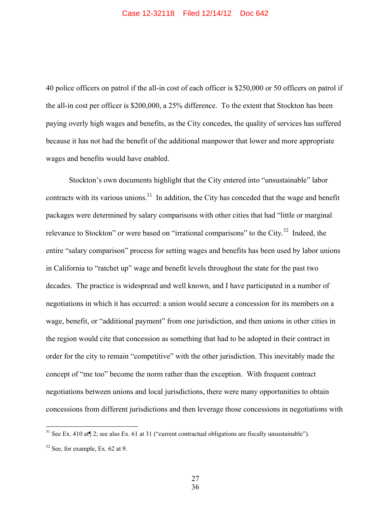40 police officers on patrol if the all-in cost of each officer is \$250,000 or 50 officers on patrol if the all-in cost per officer is \$200,000, a 25% difference. To the extent that Stockton has been paying overly high wages and benefits, as the City concedes, the quality of services has suffered because it has not had the benefit of the additional manpower that lower and more appropriate wages and benefits would have enabled.

Stockton's own documents highlight that the City entered into "unsustainable" labor contracts with its various unions.<sup>31</sup> In addition, the City has conceded that the wage and benefit packages were determined by salary comparisons with other cities that had "little or marginal relevance to Stockton" or were based on "irrational comparisons" to the City.<sup>32</sup> Indeed, the entire "salary comparison" process for setting wages and benefits has been used by labor unions in California to "ratchet up" wage and benefit levels throughout the state for the past two decades. The practice is widespread and well known, and I have participated in a number of negotiations in which it has occurred: a union would secure a concession for its members on a wage, benefit, or "additional payment" from one jurisdiction, and then unions in other cities in the region would cite that concession as something that had to be adopted in their contract in order for the city to remain "competitive" with the other jurisdiction. This inevitably made the concept of "me too" become the norm rather than the exception. With frequent contract negotiations between unions and local jurisdictions, there were many opportunities to obtain concessions from different jurisdictions and then leverage those concessions in negotiations with

<sup>&</sup>lt;sup>31</sup> See Ex. 410 at  $\llbracket 2$ ; see also Ex. 61 at 31 ("current contractual obligations are fiscally unsustainable").

 $32$  See, for example, Ex. 62 at 9.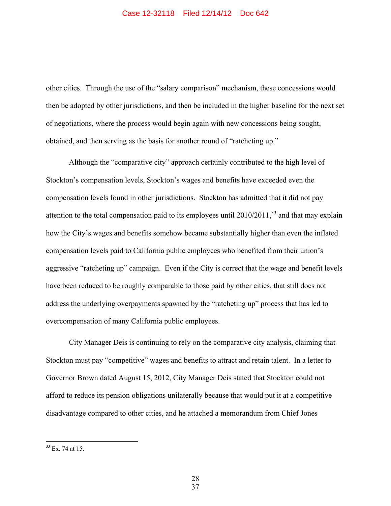other cities. Through the use of the "salary comparison" mechanism, these concessions would then be adopted by other jurisdictions, and then be included in the higher baseline for the next set of negotiations, where the process would begin again with new concessions being sought, obtained, and then serving as the basis for another round of "ratcheting up."

Although the "comparative city" approach certainly contributed to the high level of Stockton's compensation levels, Stockton's wages and benefits have exceeded even the compensation levels found in other jurisdictions. Stockton has admitted that it did not pay attention to the total compensation paid to its employees until  $2010/2011$ ,  $33$  and that may explain how the City's wages and benefits somehow became substantially higher than even the inflated compensation levels paid to California public employees who benefited from their union's aggressive "ratcheting up" campaign. Even if the City is correct that the wage and benefit levels have been reduced to be roughly comparable to those paid by other cities, that still does not address the underlying overpayments spawned by the "ratcheting up" process that has led to overcompensation of many California public employees.

City Manager Deis is continuing to rely on the comparative city analysis, claiming that Stockton must pay "competitive" wages and benefits to attract and retain talent. In a letter to Governor Brown dated August 15, 2012, City Manager Deis stated that Stockton could not afford to reduce its pension obligations unilaterally because that would put it at a competitive disadvantage compared to other cities, and he attached a memorandum from Chief Jones

-

 $33$  Ex. 74 at 15.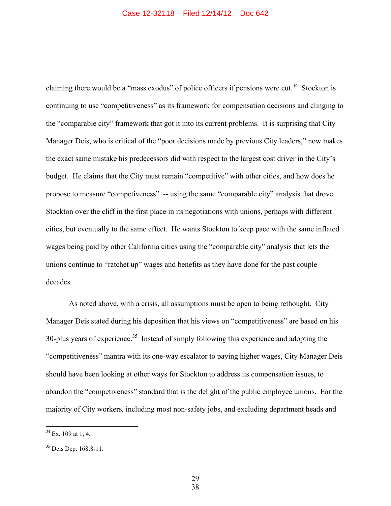claiming there would be a "mass exodus" of police officers if pensions were cut.<sup>34</sup> Stockton is continuing to use "competitiveness" as its framework for compensation decisions and clinging to the "comparable city" framework that got it into its current problems. It is surprising that City Manager Deis, who is critical of the "poor decisions made by previous City leaders," now makes the exact same mistake his predecessors did with respect to the largest cost driver in the City's budget. He claims that the City must remain "competitive" with other cities, and how does he propose to measure "competiveness" -- using the same "comparable city" analysis that drove Stockton over the cliff in the first place in its negotiations with unions, perhaps with different cities, but eventually to the same effect. He wants Stockton to keep pace with the same inflated wages being paid by other California cities using the "comparable city" analysis that lets the unions continue to "ratchet up" wages and benefits as they have done for the past couple decades.

As noted above, with a crisis, all assumptions must be open to being rethought. City Manager Deis stated during his deposition that his views on "competitiveness" are based on his 30-plus years of experience.<sup>35</sup> Instead of simply following this experience and adopting the "competitiveness" mantra with its one-way escalator to paying higher wages, City Manager Deis should have been looking at other ways for Stockton to address its compensation issues, to abandon the "competiveness" standard that is the delight of the public employee unions. For the majority of City workers, including most non-safety jobs, and excluding department heads and

 $\overline{a}$ 

 29 38

 $34$  Ex. 109 at 1, 4.

<sup>35</sup> Deis Dep. 168:8-11.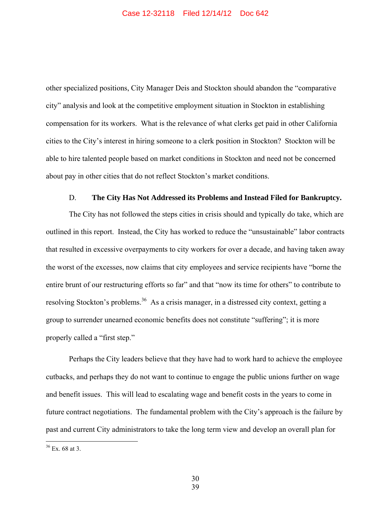other specialized positions, City Manager Deis and Stockton should abandon the "comparative city" analysis and look at the competitive employment situation in Stockton in establishing compensation for its workers. What is the relevance of what clerks get paid in other California cities to the City's interest in hiring someone to a clerk position in Stockton? Stockton will be able to hire talented people based on market conditions in Stockton and need not be concerned about pay in other cities that do not reflect Stockton's market conditions.

## D. **The City Has Not Addressed its Problems and Instead Filed for Bankruptcy.**

The City has not followed the steps cities in crisis should and typically do take, which are outlined in this report. Instead, the City has worked to reduce the "unsustainable" labor contracts that resulted in excessive overpayments to city workers for over a decade, and having taken away the worst of the excesses, now claims that city employees and service recipients have "borne the entire brunt of our restructuring efforts so far" and that "now its time for others" to contribute to resolving Stockton's problems.<sup>36</sup> As a crisis manager, in a distressed city context, getting a group to surrender unearned economic benefits does not constitute "suffering"; it is more properly called a "first step."

Perhaps the City leaders believe that they have had to work hard to achieve the employee cutbacks, and perhaps they do not want to continue to engage the public unions further on wage and benefit issues. This will lead to escalating wage and benefit costs in the years to come in future contract negotiations. The fundamental problem with the City's approach is the failure by past and current City administrators to take the long term view and develop an overall plan for

 $36$  Ex. 68 at 3.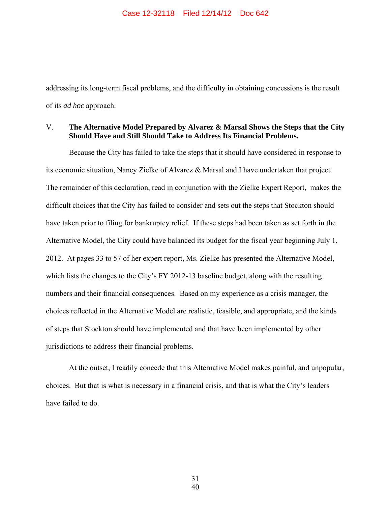addressing its long-term fiscal problems, and the difficulty in obtaining concessions is the result of its *ad hoc* approach.

## V. **The Alternative Model Prepared by Alvarez & Marsal Shows the Steps that the City Should Have and Still Should Take to Address Its Financial Problems.**

Because the City has failed to take the steps that it should have considered in response to its economic situation, Nancy Zielke of Alvarez & Marsal and I have undertaken that project. The remainder of this declaration, read in conjunction with the Zielke Expert Report, makes the difficult choices that the City has failed to consider and sets out the steps that Stockton should have taken prior to filing for bankruptcy relief. If these steps had been taken as set forth in the Alternative Model, the City could have balanced its budget for the fiscal year beginning July 1, 2012. At pages 33 to 57 of her expert report, Ms. Zielke has presented the Alternative Model, which lists the changes to the City's FY 2012-13 baseline budget, along with the resulting numbers and their financial consequences. Based on my experience as a crisis manager, the choices reflected in the Alternative Model are realistic, feasible, and appropriate, and the kinds of steps that Stockton should have implemented and that have been implemented by other jurisdictions to address their financial problems.

At the outset, I readily concede that this Alternative Model makes painful, and unpopular, choices. But that is what is necessary in a financial crisis, and that is what the City's leaders have failed to do.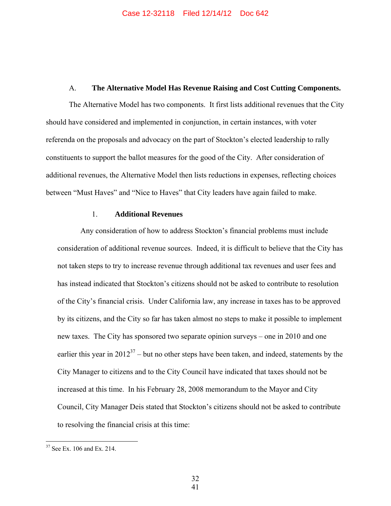#### A. **The Alternative Model Has Revenue Raising and Cost Cutting Components.**

The Alternative Model has two components. It first lists additional revenues that the City should have considered and implemented in conjunction, in certain instances, with voter referenda on the proposals and advocacy on the part of Stockton's elected leadership to rally constituents to support the ballot measures for the good of the City. After consideration of additional revenues, the Alternative Model then lists reductions in expenses, reflecting choices between "Must Haves" and "Nice to Haves" that City leaders have again failed to make.

#### 1. **Additional Revenues**

Any consideration of how to address Stockton's financial problems must include consideration of additional revenue sources. Indeed, it is difficult to believe that the City has not taken steps to try to increase revenue through additional tax revenues and user fees and has instead indicated that Stockton's citizens should not be asked to contribute to resolution of the City's financial crisis. Under California law, any increase in taxes has to be approved by its citizens, and the City so far has taken almost no steps to make it possible to implement new taxes. The City has sponsored two separate opinion surveys – one in 2010 and one earlier this year in  $2012^{37}$  – but no other steps have been taken, and indeed, statements by the City Manager to citizens and to the City Council have indicated that taxes should not be increased at this time. In his February 28, 2008 memorandum to the Mayor and City Council, City Manager Deis stated that Stockton's citizens should not be asked to contribute to resolving the financial crisis at this time:

 $37$  See Ex. 106 and Ex. 214.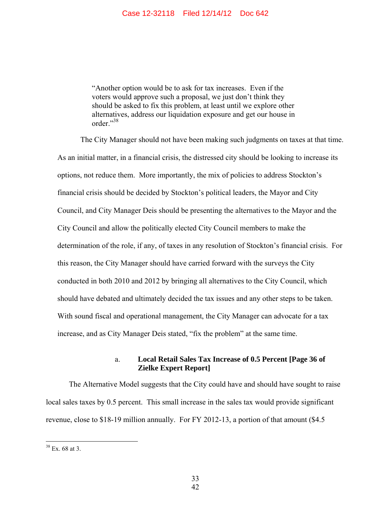"Another option would be to ask for tax increases. Even if the voters would approve such a proposal, we just don't think they should be asked to fix this problem, at least until we explore other alternatives, address our liquidation exposure and get our house in order."38

The City Manager should not have been making such judgments on taxes at that time. As an initial matter, in a financial crisis, the distressed city should be looking to increase its options, not reduce them. More importantly, the mix of policies to address Stockton's financial crisis should be decided by Stockton's political leaders, the Mayor and City Council, and City Manager Deis should be presenting the alternatives to the Mayor and the City Council and allow the politically elected City Council members to make the determination of the role, if any, of taxes in any resolution of Stockton's financial crisis. For this reason, the City Manager should have carried forward with the surveys the City conducted in both 2010 and 2012 by bringing all alternatives to the City Council, which should have debated and ultimately decided the tax issues and any other steps to be taken. With sound fiscal and operational management, the City Manager can advocate for a tax increase, and as City Manager Deis stated, "fix the problem" at the same time.

## a. **Local Retail Sales Tax Increase of 0.5 Percent [Page 36 of Zielke Expert Report]**

The Alternative Model suggests that the City could have and should have sought to raise local sales taxes by 0.5 percent. This small increase in the sales tax would provide significant revenue, close to \$18-19 million annually. For FY 2012-13, a portion of that amount (\$4.5

 $38$  Ex. 68 at 3.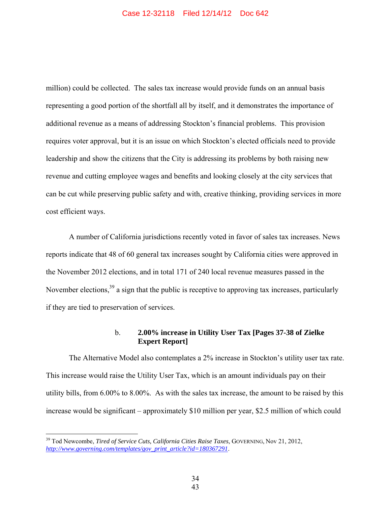million) could be collected. The sales tax increase would provide funds on an annual basis representing a good portion of the shortfall all by itself, and it demonstrates the importance of additional revenue as a means of addressing Stockton's financial problems. This provision requires voter approval, but it is an issue on which Stockton's elected officials need to provide leadership and show the citizens that the City is addressing its problems by both raising new revenue and cutting employee wages and benefits and looking closely at the city services that can be cut while preserving public safety and with, creative thinking, providing services in more cost efficient ways.

A number of California jurisdictions recently voted in favor of sales tax increases. News reports indicate that 48 of 60 general tax increases sought by California cities were approved in the November 2012 elections, and in total 171 of 240 local revenue measures passed in the November elections,<sup>39</sup> a sign that the public is receptive to approving tax increases, particularly if they are tied to preservation of services.

#### b. **2.00% increase in Utility User Tax [Pages 37-38 of Zielke Expert Report]**

The Alternative Model also contemplates a 2% increase in Stockton's utility user tax rate. This increase would raise the Utility User Tax, which is an amount individuals pay on their utility bills, from 6.00% to 8.00%. As with the sales tax increase, the amount to be raised by this increase would be significant – approximately \$10 million per year, \$2.5 million of which could

<sup>&</sup>lt;sup>39</sup> Tod Newcombe, *Tired of Service Cuts, California Cities Raise Taxes*, GOVERNING, Nov 21, 2012, *http://www.governing.com/templates/gov\_print\_article?id=180367291*.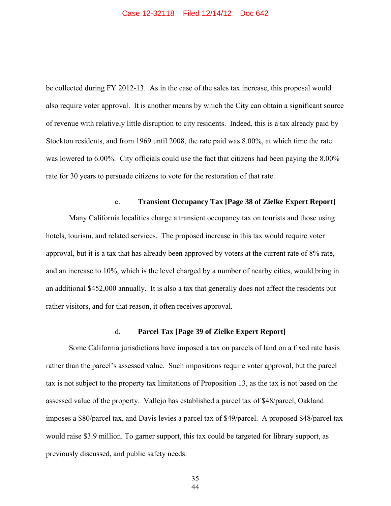be collected during FY 2012-13. As in the case of the sales tax increase, this proposal would also require voter approval. It is another means by which the City can obtain a significant source of revenue with relatively little disruption to city residents. Indeed, this is a tax already paid by Stockton residents, and from 1969 until 2008, the rate paid was 8.00%, at which time the rate was lowered to 6.00%. City officials could use the fact that citizens had been paying the 8.00% rate for 30 years to persuade citizens to vote for the restoration of that rate.

## c. **Transient Occupancy Tax [Page 38 of Zielke Expert Report]**

Many California localities charge a transient occupancy tax on tourists and those using hotels, tourism, and related services. The proposed increase in this tax would require voter approval, but it is a tax that has already been approved by voters at the current rate of 8% rate, and an increase to 10%, which is the level charged by a number of nearby cities, would bring in an additional \$452,000 annually. It is also a tax that generally does not affect the residents but rather visitors, and for that reason, it often receives approval.

#### d. **Parcel Tax [Page 39 of Zielke Expert Report]**

Some California jurisdictions have imposed a tax on parcels of land on a fixed rate basis rather than the parcel's assessed value. Such impositions require voter approval, but the parcel tax is not subject to the property tax limitations of Proposition 13, as the tax is not based on the assessed value of the property. Vallejo has established a parcel tax of \$48/parcel, Oakland imposes a \$80/parcel tax, and Davis levies a parcel tax of \$49/parcel. A proposed \$48/parcel tax would raise \$3.9 million. To garner support, this tax could be targeted for library support, as previously discussed, and public safety needs.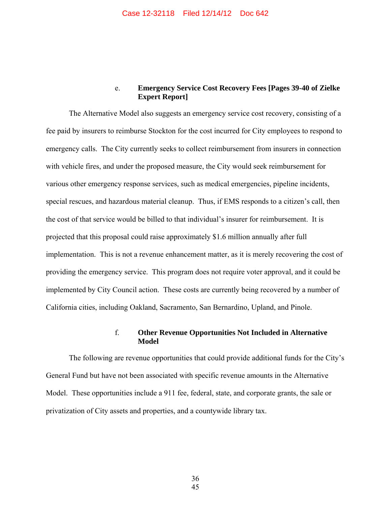## e. **Emergency Service Cost Recovery Fees [Pages 39-40 of Zielke Expert Report]**

The Alternative Model also suggests an emergency service cost recovery, consisting of a fee paid by insurers to reimburse Stockton for the cost incurred for City employees to respond to emergency calls. The City currently seeks to collect reimbursement from insurers in connection with vehicle fires, and under the proposed measure, the City would seek reimbursement for various other emergency response services, such as medical emergencies, pipeline incidents, special rescues, and hazardous material cleanup. Thus, if EMS responds to a citizen's call, then the cost of that service would be billed to that individual's insurer for reimbursement. It is projected that this proposal could raise approximately \$1.6 million annually after full implementation. This is not a revenue enhancement matter, as it is merely recovering the cost of providing the emergency service. This program does not require voter approval, and it could be implemented by City Council action. These costs are currently being recovered by a number of California cities, including Oakland, Sacramento, San Bernardino, Upland, and Pinole.

#### f. **Other Revenue Opportunities Not Included in Alternative Model**

The following are revenue opportunities that could provide additional funds for the City's General Fund but have not been associated with specific revenue amounts in the Alternative Model. These opportunities include a 911 fee, federal, state, and corporate grants, the sale or privatization of City assets and properties, and a countywide library tax.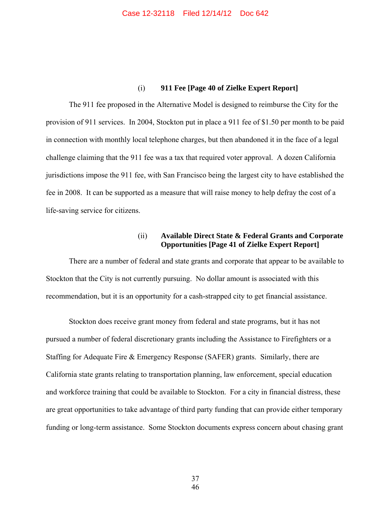## (i) **911 Fee [Page 40 of Zielke Expert Report]**

The 911 fee proposed in the Alternative Model is designed to reimburse the City for the provision of 911 services. In 2004, Stockton put in place a 911 fee of \$1.50 per month to be paid in connection with monthly local telephone charges, but then abandoned it in the face of a legal challenge claiming that the 911 fee was a tax that required voter approval. A dozen California jurisdictions impose the 911 fee, with San Francisco being the largest city to have established the fee in 2008. It can be supported as a measure that will raise money to help defray the cost of a life-saving service for citizens.

## (ii) **Available Direct State & Federal Grants and Corporate Opportunities [Page 41 of Zielke Expert Report]**

There are a number of federal and state grants and corporate that appear to be available to Stockton that the City is not currently pursuing. No dollar amount is associated with this recommendation, but it is an opportunity for a cash-strapped city to get financial assistance.

Stockton does receive grant money from federal and state programs, but it has not pursued a number of federal discretionary grants including the Assistance to Firefighters or a Staffing for Adequate Fire & Emergency Response (SAFER) grants. Similarly, there are California state grants relating to transportation planning, law enforcement, special education and workforce training that could be available to Stockton. For a city in financial distress, these are great opportunities to take advantage of third party funding that can provide either temporary funding or long-term assistance. Some Stockton documents express concern about chasing grant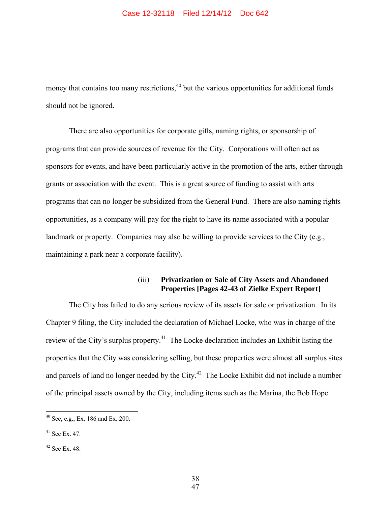#### Case 12-32118 Filed 12/14/12 Doc 642

money that contains too many restrictions,  $40$  but the various opportunities for additional funds should not be ignored.

There are also opportunities for corporate gifts, naming rights, or sponsorship of programs that can provide sources of revenue for the City. Corporations will often act as sponsors for events, and have been particularly active in the promotion of the arts, either through grants or association with the event. This is a great source of funding to assist with arts programs that can no longer be subsidized from the General Fund. There are also naming rights opportunities, as a company will pay for the right to have its name associated with a popular landmark or property. Companies may also be willing to provide services to the City (e.g., maintaining a park near a corporate facility).

## (iii) **Privatization or Sale of City Assets and Abandoned Properties [Pages 42-43 of Zielke Expert Report]**

The City has failed to do any serious review of its assets for sale or privatization. In its Chapter 9 filing, the City included the declaration of Michael Locke, who was in charge of the review of the City's surplus property.<sup>41</sup> The Locke declaration includes an Exhibit listing the properties that the City was considering selling, but these properties were almost all surplus sites and parcels of land no longer needed by the City.<sup> $42$ </sup> The Locke Exhibit did not include a number of the principal assets owned by the City, including items such as the Marina, the Bob Hope

-

 $40$  See, e.g., Ex. 186 and Ex. 200.

<sup>41</sup> See Ex. 47.

 $42$  See Ex. 48.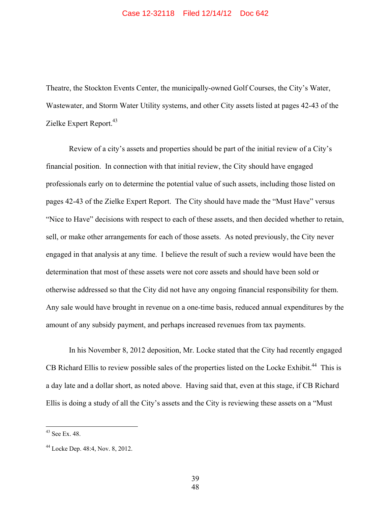Theatre, the Stockton Events Center, the municipally-owned Golf Courses, the City's Water, Wastewater, and Storm Water Utility systems, and other City assets listed at pages 42-43 of the Zielke Expert Report.<sup>43</sup>

Review of a city's assets and properties should be part of the initial review of a City's financial position. In connection with that initial review, the City should have engaged professionals early on to determine the potential value of such assets, including those listed on pages 42-43 of the Zielke Expert Report. The City should have made the "Must Have" versus "Nice to Have" decisions with respect to each of these assets, and then decided whether to retain, sell, or make other arrangements for each of those assets. As noted previously, the City never engaged in that analysis at any time. I believe the result of such a review would have been the determination that most of these assets were not core assets and should have been sold or otherwise addressed so that the City did not have any ongoing financial responsibility for them. Any sale would have brought in revenue on a one-time basis, reduced annual expenditures by the amount of any subsidy payment, and perhaps increased revenues from tax payments.

In his November 8, 2012 deposition, Mr. Locke stated that the City had recently engaged CB Richard Ellis to review possible sales of the properties listed on the Locke Exhibit.<sup>44</sup> This is a day late and a dollar short, as noted above. Having said that, even at this stage, if CB Richard Ellis is doing a study of all the City's assets and the City is reviewing these assets on a "Must

<u>.</u>

39

 $43$  See Ex. 48.

<sup>44</sup> Locke Dep. 48:4, Nov. 8, 2012.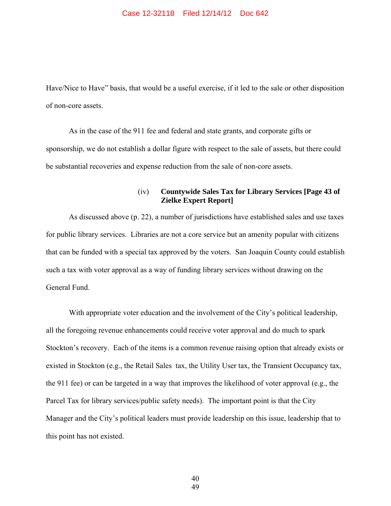#### Case 12-32118 Filed 12/14/12 Doc 642

Have/Nice to Have" basis, that would be a useful exercise, if it led to the sale or other disposition of non-core assets.

As in the case of the 911 fee and federal and state grants, and corporate gifts or sponsorship, we do not establish a dollar figure with respect to the sale of assets, but there could be substantial recoveries and expense reduction from the sale of non-core assets.

## (iv) **Countywide Sales Tax for Library Services [Page 43 of Zielke Expert Report]**

As discussed above (p. 22), a number of jurisdictions have established sales and use taxes for public library services. Libraries are not a core service but an amenity popular with citizens that can be funded with a special tax approved by the voters. San Joaquin County could establish such a tax with voter approval as a way of funding library services without drawing on the General Fund.

With appropriate voter education and the involvement of the City's political leadership, all the foregoing revenue enhancements could receive voter approval and do much to spark Stockton's recovery. Each of the items is a common revenue raising option that already exists or existed in Stockton (e.g., the Retail Sales tax, the Utility User tax, the Transient Occupancy tax, the 911 fee) or can be targeted in a way that improves the likelihood of voter approval (e.g., the Parcel Tax for library services/public safety needs). The important point is that the City Manager and the City's political leaders must provide leadership on this issue, leadership that to this point has not existed.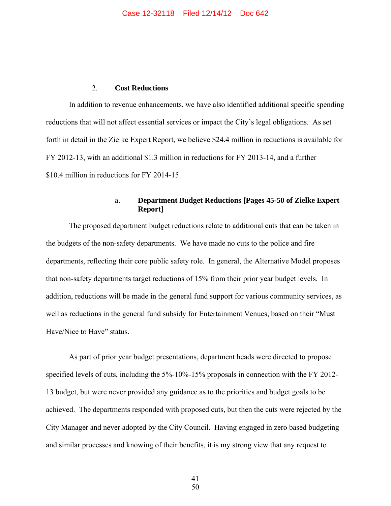#### 2. **Cost Reductions**

In addition to revenue enhancements, we have also identified additional specific spending reductions that will not affect essential services or impact the City's legal obligations. As set forth in detail in the Zielke Expert Report, we believe \$24.4 million in reductions is available for FY 2012-13, with an additional \$1.3 million in reductions for FY 2013-14, and a further \$10.4 million in reductions for FY 2014-15.

## a. **Department Budget Reductions [Pages 45-50 of Zielke Expert Report]**

The proposed department budget reductions relate to additional cuts that can be taken in the budgets of the non-safety departments. We have made no cuts to the police and fire departments, reflecting their core public safety role. In general, the Alternative Model proposes that non-safety departments target reductions of 15% from their prior year budget levels. In addition, reductions will be made in the general fund support for various community services, as well as reductions in the general fund subsidy for Entertainment Venues, based on their "Must Have/Nice to Have" status.

As part of prior year budget presentations, department heads were directed to propose specified levels of cuts, including the 5%-10%-15% proposals in connection with the FY 2012- 13 budget, but were never provided any guidance as to the priorities and budget goals to be achieved. The departments responded with proposed cuts, but then the cuts were rejected by the City Manager and never adopted by the City Council. Having engaged in zero based budgeting and similar processes and knowing of their benefits, it is my strong view that any request to

 41 50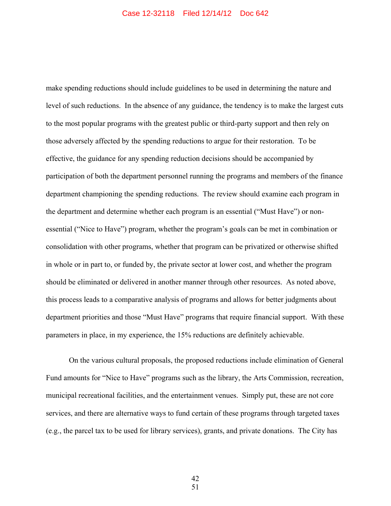make spending reductions should include guidelines to be used in determining the nature and level of such reductions. In the absence of any guidance, the tendency is to make the largest cuts to the most popular programs with the greatest public or third-party support and then rely on those adversely affected by the spending reductions to argue for their restoration. To be effective, the guidance for any spending reduction decisions should be accompanied by participation of both the department personnel running the programs and members of the finance department championing the spending reductions. The review should examine each program in the department and determine whether each program is an essential ("Must Have") or nonessential ("Nice to Have") program, whether the program's goals can be met in combination or consolidation with other programs, whether that program can be privatized or otherwise shifted in whole or in part to, or funded by, the private sector at lower cost, and whether the program should be eliminated or delivered in another manner through other resources. As noted above, this process leads to a comparative analysis of programs and allows for better judgments about department priorities and those "Must Have" programs that require financial support. With these parameters in place, in my experience, the 15% reductions are definitely achievable.

On the various cultural proposals, the proposed reductions include elimination of General Fund amounts for "Nice to Have" programs such as the library, the Arts Commission, recreation, municipal recreational facilities, and the entertainment venues. Simply put, these are not core services, and there are alternative ways to fund certain of these programs through targeted taxes (e.g., the parcel tax to be used for library services), grants, and private donations. The City has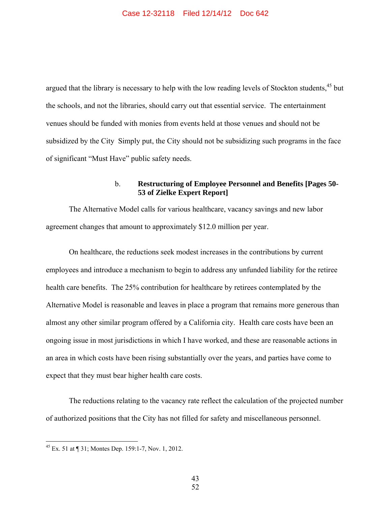argued that the library is necessary to help with the low reading levels of Stockton students,<sup>45</sup> but the schools, and not the libraries, should carry out that essential service. The entertainment venues should be funded with monies from events held at those venues and should not be subsidized by the City Simply put, the City should not be subsidizing such programs in the face of significant "Must Have" public safety needs.

## b. **Restructuring of Employee Personnel and Benefits [Pages 50- 53 of Zielke Expert Report]**

The Alternative Model calls for various healthcare, vacancy savings and new labor agreement changes that amount to approximately \$12.0 million per year.

On healthcare, the reductions seek modest increases in the contributions by current employees and introduce a mechanism to begin to address any unfunded liability for the retiree health care benefits. The 25% contribution for healthcare by retirees contemplated by the Alternative Model is reasonable and leaves in place a program that remains more generous than almost any other similar program offered by a California city. Health care costs have been an ongoing issue in most jurisdictions in which I have worked, and these are reasonable actions in an area in which costs have been rising substantially over the years, and parties have come to expect that they must bear higher health care costs.

The reductions relating to the vacancy rate reflect the calculation of the projected number of authorized positions that the City has not filled for safety and miscellaneous personnel.

-

<sup>&</sup>lt;sup>45</sup> Ex. 51 at  $\P$  31; Montes Dep. 159:1-7, Nov. 1, 2012.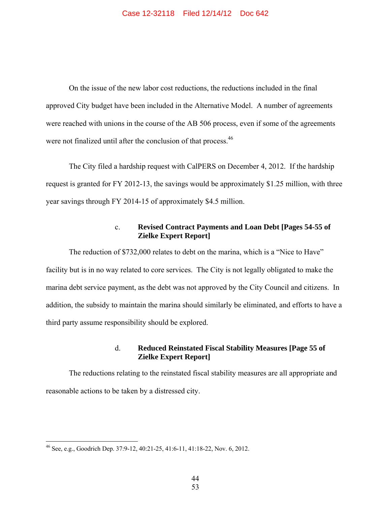On the issue of the new labor cost reductions, the reductions included in the final approved City budget have been included in the Alternative Model. A number of agreements were reached with unions in the course of the AB 506 process, even if some of the agreements were not finalized until after the conclusion of that process.<sup>46</sup>

The City filed a hardship request with CalPERS on December 4, 2012. If the hardship request is granted for FY 2012-13, the savings would be approximately \$1.25 million, with three year savings through FY 2014-15 of approximately \$4.5 million.

## c. **Revised Contract Payments and Loan Debt [Pages 54-55 of Zielke Expert Report]**

The reduction of \$732,000 relates to debt on the marina, which is a "Nice to Have" facility but is in no way related to core services. The City is not legally obligated to make the marina debt service payment, as the debt was not approved by the City Council and citizens. In addition, the subsidy to maintain the marina should similarly be eliminated, and efforts to have a third party assume responsibility should be explored.

## d. **Reduced Reinstated Fiscal Stability Measures [Page 55 of Zielke Expert Report]**

The reductions relating to the reinstated fiscal stability measures are all appropriate and reasonable actions to be taken by a distressed city.

<sup>46</sup> See, e.g., Goodrich Dep. 37:9-12, 40:21-25, 41:6-11, 41:18-22, Nov. 6, 2012.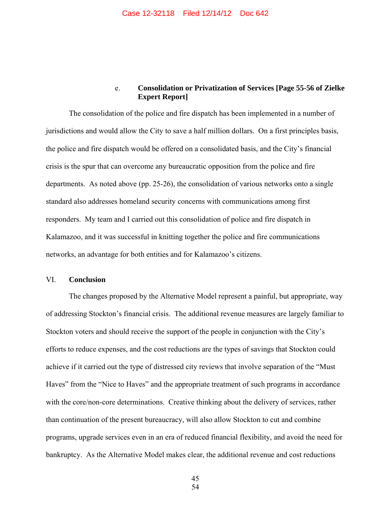## e. **Consolidation or Privatization of Services [Page 55-56 of Zielke Expert Report]**

The consolidation of the police and fire dispatch has been implemented in a number of jurisdictions and would allow the City to save a half million dollars. On a first principles basis, the police and fire dispatch would be offered on a consolidated basis, and the City's financial crisis is the spur that can overcome any bureaucratic opposition from the police and fire departments. As noted above (pp. 25-26), the consolidation of various networks onto a single standard also addresses homeland security concerns with communications among first responders. My team and I carried out this consolidation of police and fire dispatch in Kalamazoo, and it was successful in knitting together the police and fire communications networks, an advantage for both entities and for Kalamazoo's citizens.

#### VI. **Conclusion**

The changes proposed by the Alternative Model represent a painful, but appropriate, way of addressing Stockton's financial crisis. The additional revenue measures are largely familiar to Stockton voters and should receive the support of the people in conjunction with the City's efforts to reduce expenses, and the cost reductions are the types of savings that Stockton could achieve if it carried out the type of distressed city reviews that involve separation of the "Must Haves" from the "Nice to Haves" and the appropriate treatment of such programs in accordance with the core/non-core determinations. Creative thinking about the delivery of services, rather than continuation of the present bureaucracy, will also allow Stockton to cut and combine programs, upgrade services even in an era of reduced financial flexibility, and avoid the need for bankruptcy. As the Alternative Model makes clear, the additional revenue and cost reductions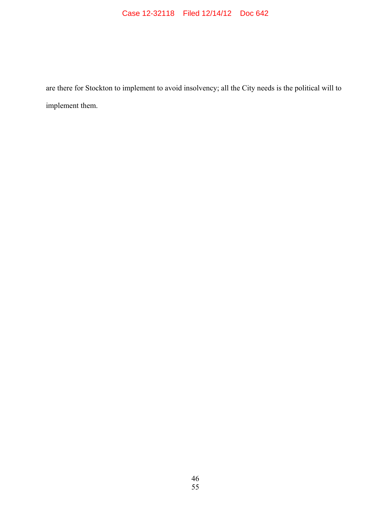# Case 12-32118 Filed 12/14/12 Doc 642

are there for Stockton to implement to avoid insolvency; all the City needs is the political will to implement them.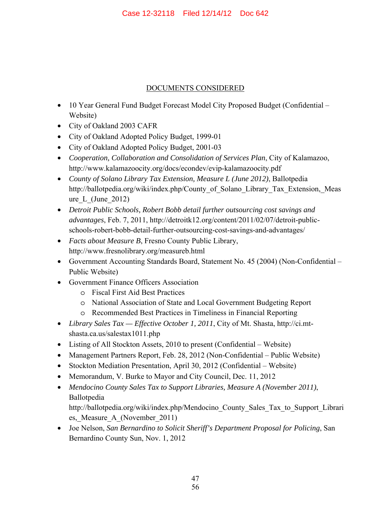# DOCUMENTS CONSIDERED

- 10 Year General Fund Budget Forecast Model City Proposed Budget (Confidential Website)
- City of Oakland 2003 CAFR
- City of Oakland Adopted Policy Budget, 1999-01
- City of Oakland Adopted Policy Budget, 2001-03
- *Cooperation, Collaboration and Consolidation of Services Plan*, City of Kalamazoo, http://www.kalamazoocity.org/docs/econdev/evip-kalamazoocity.pdf
- *County of Solano Library Tax Extension, Measure L (June 2012)*, Ballotpedia http://ballotpedia.org/wiki/index.php/County\_of\_Solano\_Library\_Tax\_Extension,\_Meas ure L (June  $2012$ )
- *Detroit Public Schools, Robert Bobb detail further outsourcing cost savings and advantages*, Feb. 7, 2011, http://detroitk12.org/content/2011/02/07/detroit-publicschools-robert-bobb-detail-further-outsourcing-cost-savings-and-advantages/
- *Facts about Measure B*, Fresno County Public Library, http://www.fresnolibrary.org/measureb.html
- Government Accounting Standards Board, Statement No. 45 (2004) (Non-Confidential Public Website)
- Government Finance Officers Association
	- o Fiscal First Aid Best Practices
	- o National Association of State and Local Government Budgeting Report
	- o Recommended Best Practices in Timeliness in Financial Reporting
- *Library Sales Tax Effective October 1, 2011*, City of Mt. Shasta, http://ci.mtshasta.ca.us/salestax1011.php
- Listing of All Stockton Assets, 2010 to present (Confidential Website)
- Management Partners Report, Feb. 28, 2012 (Non-Confidential Public Website)
- Stockton Mediation Presentation, April 30, 2012 (Confidential Website)
- Memorandum, V. Burke to Mayor and City Council, Dec. 11, 2012
- *Mendocino County Sales Tax to Support Libraries, Measure A (November 2011)*, Ballotpedia http://ballotpedia.org/wiki/index.php/Mendocino\_County\_Sales\_Tax\_to\_Support\_Librari es, Measure A (November 2011)
- Joe Nelson, *San Bernardino to Solicit Sheriff's Department Proposal for Policing*, San Bernardino County Sun, Nov. 1, 2012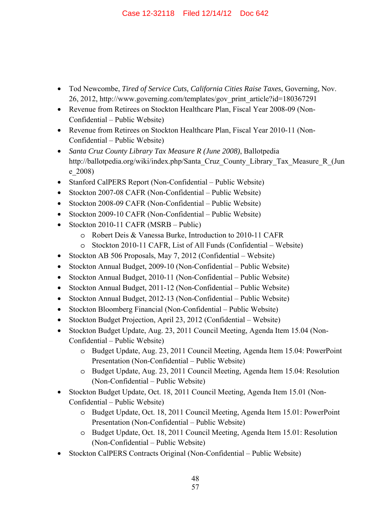- Tod Newcombe, *Tired of Service Cuts, California Cities Raise Taxes*, Governing*,* Nov. 26, 2012, http://www.governing.com/templates/gov\_print\_article?id=180367291
- Revenue from Retirees on Stockton Healthcare Plan, Fiscal Year 2008-09 (Non-Confidential – Public Website)
- Revenue from Retirees on Stockton Healthcare Plan, Fiscal Year 2010-11 (Non-Confidential – Public Website)
- *Santa Cruz County Library Tax Measure R (June 2008)*, Ballotpedia http://ballotpedia.org/wiki/index.php/Santa Cruz County Library Tax Measure R (Jun e\_2008)
- Stanford CalPERS Report (Non-Confidential Public Website)
- Stockton 2007-08 CAFR (Non-Confidential Public Website)
- Stockton 2008-09 CAFR (Non-Confidential Public Website)
- Stockton 2009-10 CAFR (Non-Confidential Public Website)
- Stockton 2010-11 CAFR (MSRB Public)
	- o Robert Deis & Vanessa Burke, Introduction to 2010-11 CAFR
	- o Stockton 2010-11 CAFR, List of All Funds (Confidential Website)
- Stockton AB 506 Proposals, May 7, 2012 (Confidential Website)
- Stockton Annual Budget, 2009-10 (Non-Confidential Public Website)
- Stockton Annual Budget, 2010-11 (Non-Confidential Public Website)
- Stockton Annual Budget, 2011-12 (Non-Confidential Public Website)
- Stockton Annual Budget, 2012-13 (Non-Confidential Public Website)
- Stockton Bloomberg Financial (Non-Confidential Public Website)
- Stockton Budget Projection, April 23, 2012 (Confidential Website)
- Stockton Budget Update, Aug. 23, 2011 Council Meeting, Agenda Item 15.04 (Non-Confidential – Public Website)
	- o Budget Update, Aug. 23, 2011 Council Meeting, Agenda Item 15.04: PowerPoint Presentation (Non-Confidential – Public Website)
	- o Budget Update, Aug. 23, 2011 Council Meeting, Agenda Item 15.04: Resolution (Non-Confidential – Public Website)
- Stockton Budget Update, Oct. 18, 2011 Council Meeting, Agenda Item 15.01 (Non-Confidential – Public Website)
	- o Budget Update, Oct. 18, 2011 Council Meeting, Agenda Item 15.01: PowerPoint Presentation (Non-Confidential – Public Website)
	- o Budget Update, Oct. 18, 2011 Council Meeting, Agenda Item 15.01: Resolution (Non-Confidential – Public Website)
- Stockton CalPERS Contracts Original (Non-Confidential Public Website)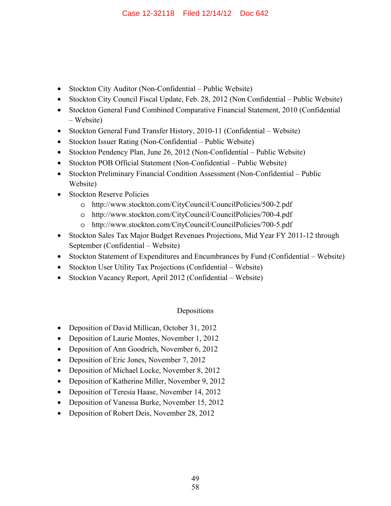- Stockton City Auditor (Non-Confidential Public Website)
- Stockton City Council Fiscal Update, Feb. 28, 2012 (Non Confidential Public Website)
- Stockton General Fund Combined Comparative Financial Statement, 2010 (Confidential – Website)
- Stockton General Fund Transfer History, 2010-11 (Confidential Website)
- Stockton Issuer Rating (Non-Confidential Public Website)
- Stockton Pendency Plan, June 26, 2012 (Non-Confidential Public Website)
- Stockton POB Official Statement (Non-Confidential Public Website)
- Stockton Preliminary Financial Condition Assessment (Non-Confidential Public Website)
- Stockton Reserve Policies
	- o http://www.stockton.com/CityCouncil/CouncilPolicies/500-2.pdf
	- o http://www.stockton.com/CityCouncil/CouncilPolicies/700-4.pdf
	- o http://www.stockton.com/CityCouncil/CouncilPolicies/700-5.pdf
- Stockton Sales Tax Major Budget Revenues Projections, Mid Year FY 2011-12 through September (Confidential – Website)
- Stockton Statement of Expenditures and Encumbrances by Fund (Confidential Website)
- Stockton User Utility Tax Projections (Confidential Website)
- Stockton Vacancy Report, April 2012 (Confidential Website)

# Depositions

- Deposition of David Millican, October 31, 2012
- Deposition of Laurie Montes, November 1, 2012
- Deposition of Ann Goodrich, November 6, 2012
- Deposition of Eric Jones, November 7, 2012
- Deposition of Michael Locke, November 8, 2012
- Deposition of Katherine Miller, November 9, 2012
- Deposition of Teresia Haase, November 14, 2012
- Deposition of Vanessa Burke, November 15, 2012
- Deposition of Robert Deis, November 28, 2012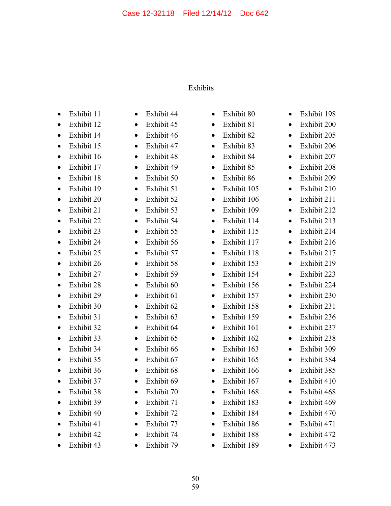# Exhibits

- Exhibit 11
- Exhibit 12
- Exhibit 14
- Exhibit 15
- Exhibit 16
- Exhibit 17
- Exhibit 18
- Exhibit 19
- Exhibit 20
- Exhibit 21
- Exhibit 22
- Exhibit 23
- Exhibit 24
- Exhibit 25
- Exhibit 26
- Exhibit 27
- Exhibit 28
- Exhibit 29
- Exhibit 30
- Exhibit 31
- Exhibit 32
- Exhibit 33
- Exhibit 34
- Exhibit 35
- Exhibit 36
- Exhibit 37
- Exhibit 38
- Exhibit 39
- Exhibit 40
- Exhibit 41
- Exhibit 42
- Exhibit 43
- Exhibit 44
- Exhibit 45
- Exhibit 46
- Exhibit 47 • Exhibit 48
- Exhibit 49
- Exhibit 50
- Exhibit 51
- Exhibit 52
- Exhibit 53
- Exhibit 54
- Exhibit 55
- Exhibit 56
- Exhibit 57
- Exhibit 58
- Exhibit 59
- Exhibit 60
- Exhibit 61
- Exhibit 62
- Exhibit 63
- Exhibit 64
- Exhibit 65
- Exhibit 66
- Exhibit 67
- Exhibit 68
- Exhibit 69
- Exhibit 70
- Exhibit 71
- Exhibit 72
- Exhibit 73
- Exhibit 74
- Exhibit 79

50

- Exhibit 80
- Exhibit 81
- Exhibit 82
- Exhibit 83
- Exhibit 84
- Exhibit 85
- Exhibit 86
- Exhibit 105
- Exhibit 106
- Exhibit 109
- Exhibit 114
- Exhibit 115
- Exhibit 117
- Exhibit 118
- Exhibit 153
- Exhibit 154
- Exhibit 156
- Exhibit 157
- Exhibit 158
- Exhibit 159
- Exhibit 161
- Exhibit 162
- Exhibit 163
- Exhibit 165
- Exhibit 166
- Exhibit 167
- Exhibit 168
- Exhibit 183
- Exhibit 184
- Exhibit 186
- Exhibit 188
- Exhibit 189

59

- Exhibit 198
- Exhibit 200
- Exhibit 205 • Exhibit 206

• Exhibit 207 • Exhibit 208 • Exhibit 209 • Exhibit 210 • Exhibit 211 • Exhibit 212 • Exhibit 213 • Exhibit 214 • Exhibit 216 • Exhibit 217 • Exhibit 219 • Exhibit 223 • Exhibit 224 • Exhibit 230 • Exhibit 231 • Exhibit 236 • Exhibit 237 • Exhibit 238 • Exhibit 309 • Exhibit 384 • Exhibit 385 • Exhibit 410 • Exhibit 468 • Exhibit 469 • Exhibit 470 • Exhibit 471 • Exhibit 472 • Exhibit 473